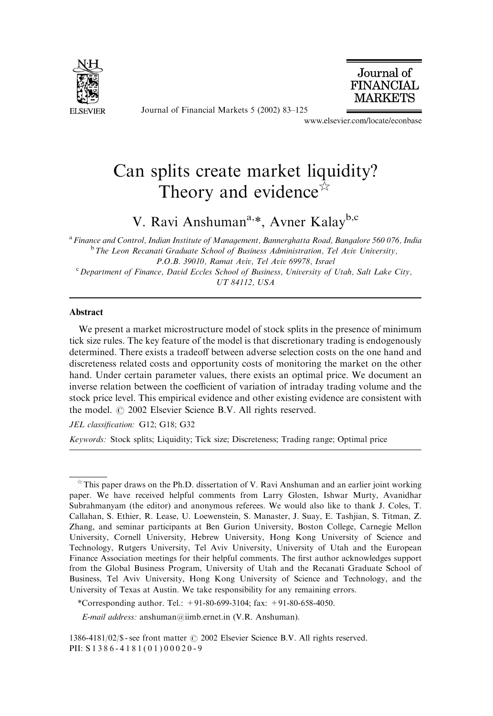

Journal of Financial Markets 5 (2002) 83–125



www.elsevier.com/locate/econbase

# Can splits create market liquidity? Theory and evidence  $\mathbb{R}^{\mathbb{Z}}$

V. Ravi Anshuman<sup>a,\*</sup>, Avner Kalay<sup>b,c</sup>

<sup>a</sup> Finance and Control, Indian Institute of Management, Bannerghatta Road, Bangalore 560 076, India  $b$  The Leon Recanati Graduate School of Business Administration, Tel Aviv University, P.O.B. 39010, Ramat Aviv, Tel Aviv 69978, Israel <sup>c</sup> Department of Finance, David Eccles School of Business, University of Utah, Salt Lake City, UT 84112, USA

#### Abstract

We present a market microstructure model of stock splits in the presence of minimum tick size rules. The key feature of the model is that discretionary trading is endogenously determined. There exists a tradeoff between adverse selection costs on the one hand and discreteness related costs and opportunity costs of monitoring the market on the other hand. Under certain parameter values, there exists an optimal price. We document an inverse relation between the coefficient of variation of intraday trading volume and the stock price level. This empirical evidence and other existing evidence are consistent with the model.  $\odot$  2002 Elsevier Science B.V. All rights reserved.

JEL classification: G12; G18; G32

Keywords: Stock splits; Liquidity; Tick size; Discreteness; Trading range; Optimal price

\*Corresponding author. Tel.: +91-80-699-3104; fax: +91-80-658-4050.

E-mail address: anshuman@iimb.ernet.in (V.R. Anshuman).

 $1386-4181/02/$ \$ - see front matter  $\odot$  2002 Elsevier Science B.V. All rights reserved. PII: S 1 3 8 6 - 4181(01)00020-9

 $\hat{\tau}$ This paper draws on the Ph.D. dissertation of V. Ravi Anshuman and an earlier joint working paper. We have received helpful comments from Larry Glosten, Ishwar Murty, Avanidhar Subrahmanyam (the editor) and anonymous referees. We would also like to thank J. Coles, T. Callahan, S. Ethier, R. Lease, U. Loewenstein, S. Manaster, J. Suay, E. Tashjian, S. Titman, Z. Zhang, and seminar participants at Ben Gurion University, Boston College, Carnegie Mellon University, Cornell University, Hebrew University, Hong Kong University of Science and Technology, Rutgers University, Tel Aviv University, University of Utah and the European Finance Association meetings for their helpful comments. The first author acknowledges support from the Global Business Program, University of Utah and the Recanati Graduate School of Business, Tel Aviv University, Hong Kong University of Science and Technology, and the University of Texas at Austin. We take responsibility for any remaining errors.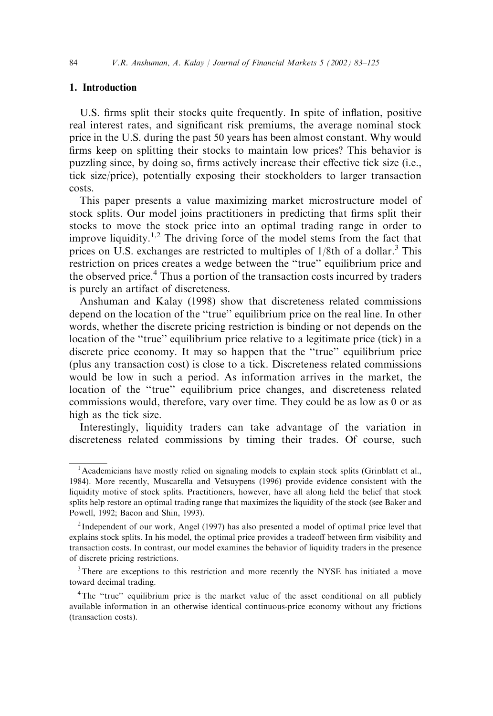### 1. Introduction

U.S. firms split their stocks quite frequently. In spite of inflation, positive real interest rates, and significant risk premiums, the average nominal stock price in the U.S. during the past 50 years has been almost constant. Why would firms keep on splitting their stocks to maintain low prices?This behavior is puzzling since, by doing so, firms actively increase their effective tick size (i.e., tick size/price), potentially exposing their stockholders to larger transaction costs.

This paper presents a value maximizing market microstructure model of stock splits. Our model joins practitioners in predicting that firms split their stocks to move the stock price into an optimal trading range in order to improve liquidity.<sup>1,2</sup> The driving force of the model stems from the fact that prices on U.S. exchanges are restricted to multiples of  $1/8$ th of a dollar.<sup>3</sup> This restriction on prices creates a wedge between the ''true'' equilibrium price and the observed price.<sup>4</sup> Thus a portion of the transaction costs incurred by traders is purely an artifact of discreteness.

Anshuman and Kalay (1998) show that discreteness related commissions depend on the location of the ''true'' equilibrium price on the real line. In other words, whether the discrete pricing restriction is binding or not depends on the location of the ''true'' equilibrium price relative to a legitimate price (tick) in a discrete price economy. It may so happen that the ''true'' equilibrium price (plus any transaction cost) is close to a tick. Discreteness related commissions would be low in such a period. As information arrives in the market, the location of the ''true'' equilibrium price changes, and discreteness related commissions would, therefore, vary over time. They could be as low as 0 or as high as the tick size.

Interestingly, liquidity traders can take advantage of the variation in discreteness related commissions by timing their trades. Of course, such

<sup>&</sup>lt;sup>1</sup> Academicians have mostly relied on signaling models to explain stock splits (Grinblatt et al., 1984). More recently, Muscarella and Vetsuypens (1996) provide evidence consistent with the liquidity motive of stock splits. Practitioners, however, have all along held the belief that stock splits help restore an optimal trading range that maximizes the liquidity of the stock (see Baker and Powell, 1992; Bacon and Shin, 1993).

<sup>&</sup>lt;sup>2</sup> Independent of our work, Angel (1997) has also presented a model of optimal price level that explains stock splits. In his model, the optimal price provides a tradeoff between firm visibility and transaction costs. In contrast, our model examines the behavior of liquidity traders in the presence of discrete pricing restrictions.

<sup>&</sup>lt;sup>3</sup>There are exceptions to this restriction and more recently the NYSE has initiated a move toward decimal trading.

<sup>&</sup>lt;sup>4</sup>The "true" equilibrium price is the market value of the asset conditional on all publicly available information in an otherwise identical continuous-price economy without any frictions (transaction costs).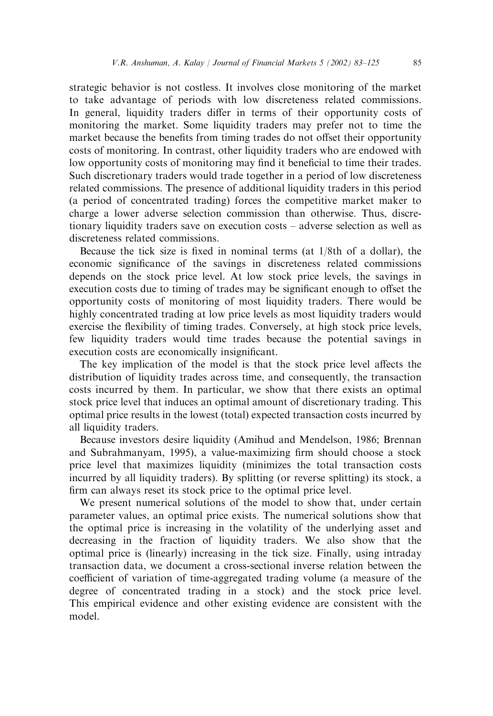strategic behavior is not costless. It involves close monitoring of the market to take advantage of periods with low discreteness related commissions. In general, liquidity traders differ in terms of their opportunity costs of monitoring the market. Some liquidity traders may prefer not to time the market because the benefits from timing trades do not offset their opportunity costs of monitoring. In contrast, other liquidity traders who are endowed with low opportunity costs of monitoring may find it beneficial to time their trades. Such discretionary traders would trade together in a period of low discreteness related commissions. The presence of additional liquidity traders in this period (a period of concentrated trading) forces the competitive market maker to charge a lower adverse selection commission than otherwise. Thus, discretionary liquidity traders save on execution costs – adverse selection as well as discreteness related commissions.

Because the tick size is fixed in nominal terms (at 1/8th of a dollar), the economic significance of the savings in discreteness related commissions depends on the stock price level. At low stock price levels, the savings in execution costs due to timing of trades may be significant enough to offset the opportunity costs of monitoring of most liquidity traders. There would be highly concentrated trading at low price levels as most liquidity traders would exercise the flexibility of timing trades. Conversely, at high stock price levels, few liquidity traders would time trades because the potential savings in execution costs are economically insignificant.

The key implication of the model is that the stock price level affects the distribution of liquidity trades across time, and consequently, the transaction costs incurred by them. In particular, we show that there exists an optimal stock price level that induces an optimal amount of discretionary trading. This optimal price results in the lowest (total) expected transaction costs incurred by all liquidity traders.

Because investors desire liquidity (Amihud and Mendelson, 1986; Brennan and Subrahmanyam, 1995), a value-maximizing firm should choose a stock price level that maximizes liquidity (minimizes the total transaction costs incurred by all liquidity traders). By splitting (or reverse splitting) its stock, a firm can always reset its stock price to the optimal price level.

We present numerical solutions of the model to show that, under certain parameter values, an optimal price exists. The numerical solutions show that the optimal price is increasing in the volatility of the underlying asset and decreasing in the fraction of liquidity traders. We also show that the optimal price is (linearly) increasing in the tick size. Finally, using intraday transaction data, we document a cross-sectional inverse relation between the coefficient of variation of time-aggregated trading volume (a measure of the degree of concentrated trading in a stock) and the stock price level. This empirical evidence and other existing evidence are consistent with the model.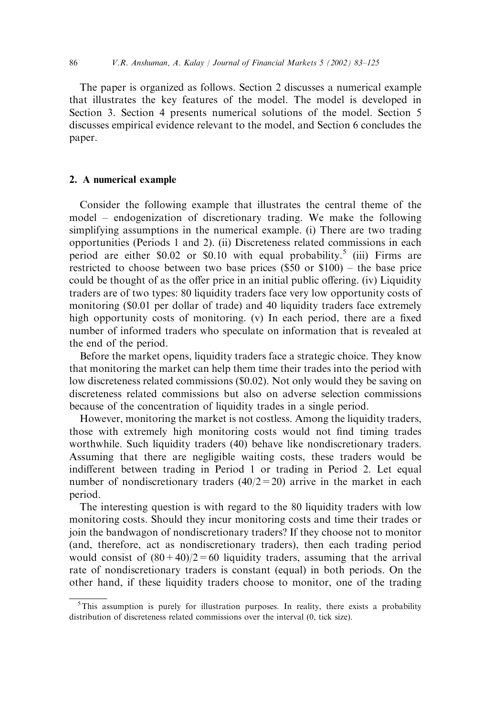The paper is organized as follows. Section 2 discusses a numerical example that illustrates the key features of the model. The model is developed in Section 3. Section 4 presents numerical solutions of the model. Section 5 discusses empirical evidence relevant to the model, and Section 6 concludes the paper.

### 2. A numerical example

Consider the following example that illustrates the central theme of the model – endogenization of discretionary trading. We make the following simplifying assumptions in the numerical example. (i) There are two trading opportunities (Periods 1 and 2). (ii) Discreteness related commissions in each period are either \$0.02 or \$0.10 with equal probability.<sup>5</sup> (iii) Firms are restricted to choose between two base prices (\$50 or \$100) – the base price could be thought of as the offer price in an initial public offering. (iv) Liquidity traders are of two types: 80 liquidity traders face very low opportunity costs of monitoring (\$0.01 per dollar of trade) and 40 liquidity traders face extremely high opportunity costs of monitoring. (v) In each period, there are a fixed number of informed traders who speculate on information that is revealed at the end of the period.

Before the market opens, liquidity traders face a strategic choice. They know that monitoring the market can help them time their trades into the period with low discreteness related commissions (\$0.02). Not only would they be saving on discreteness related commissions but also on adverse selection commissions because of the concentration of liquidity trades in a single period.

However, monitoring the market is not costless. Among the liquidity traders, those with extremely high monitoring costs would not find timing trades worthwhile. Such liquidity traders (40) behave like nondiscretionary traders. Assuming that there are negligible waiting costs, these traders would be indifferent between trading in Period 1 or trading in Period 2. Let equal number of nondiscretionary traders  $(40/2=20)$  arrive in the market in each period.

The interesting question is with regard to the 80 liquidity traders with low monitoring costs. Should they incur monitoring costs and time their trades or join the bandwagon of nondiscretionary traders?If they choose not to monitor (and, therefore, act as nondiscretionary traders), then each trading period would consist of  $(80+40)/2=60$  liquidity traders, assuming that the arrival rate of nondiscretionary traders is constant (equal) in both periods. On the other hand, if these liquidity traders choose to monitor, one of the trading

<sup>&</sup>lt;sup>5</sup>This assumption is purely for illustration purposes. In reality, there exists a probability distribution of discreteness related commissions over the interval (0, tick size).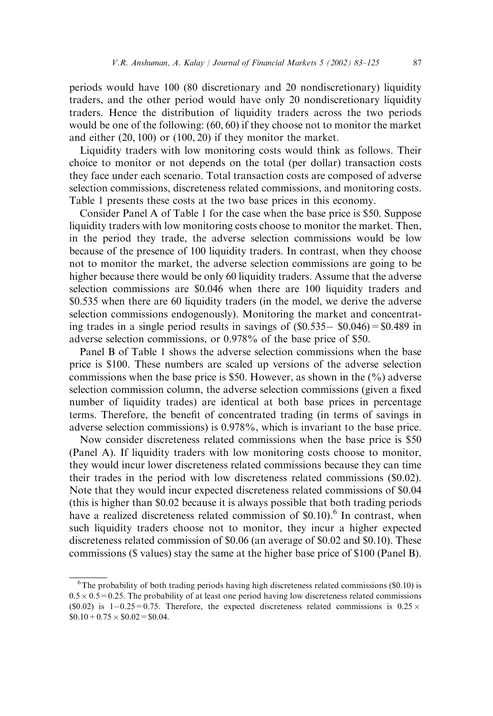periods would have 100 (80 discretionary and 20 nondiscretionary) liquidity traders, and the other period would have only 20 nondiscretionary liquidity traders. Hence the distribution of liquidity traders across the two periods would be one of the following: (60, 60) if they choose not to monitor the market and either (20, 100) or (100, 20) if they monitor the market.

Liquidity traders with low monitoring costs would think as follows. Their choice to monitor or not depends on the total (per dollar) transaction costs they face under each scenario. Total transaction costs are composed of adverse selection commissions, discreteness related commissions, and monitoring costs. Table 1 presents these costs at the two base prices in this economy.

Consider Panel A of Table 1 for the case when the base price is \$50. Suppose liquidity traders with low monitoring costs choose to monitor the market. Then, in the period they trade, the adverse selection commissions would be low because of the presence of 100 liquidity traders. In contrast, when they choose not to monitor the market, the adverse selection commissions are going to be higher because there would be only 60 liquidity traders. Assume that the adverse selection commissions are \$0.046 when there are 100 liquidity traders and \$0.535 when there are 60 liquidity traders (in the model, we derive the adverse selection commissions endogenously). Monitoring the market and concentrating trades in a single period results in savings of  $(\$0.535 - \$0.046) = \$0.489$  in adverse selection commissions, or 0.978% of the base price of \$50.

Panel B of Table 1 shows the adverse selection commissions when the base price is \$100. These numbers are scaled up versions of the adverse selection commissions when the base price is \$50. However, as shown in the  $\frac{6}{6}$  adverse selection commission column, the adverse selection commissions (given a fixed number of liquidity trades) are identical at both base prices in percentage terms. Therefore, the benefit of concentrated trading (in terms of savings in adverse selection commissions) is 0.978%, which is invariant to the base price.

Now consider discreteness related commissions when the base price is \$50 (Panel A). If liquidity traders with low monitoring costs choose to monitor, they would incur lower discreteness related commissions because they can time their trades in the period with low discreteness related commissions (\$0.02). Note that they would incur expected discreteness related commissions of \$0.04 (this is higher than \$0.02 because it is always possible that both trading periods have a realized discreteness related commission of \$0.10).<sup>6</sup> In contrast, when such liquidity traders choose not to monitor, they incur a higher expected discreteness related commission of \$0.06 (an average of \$0.02 and \$0.10). These commissions (\$ values) stay the same at the higher base price of \$100 (Panel B).

 $6$ The probability of both trading periods having high discreteness related commissions (\$0.10) is  $0.5 \times 0.5 = 0.25$ . The probability of at least one period having low discreteness related commissions (\$0.02) is  $1-0.25=0.75$ . Therefore, the expected discreteness related commissions is  $0.25 \times$  $$0.10 + 0.75 \times $0.02 = $0.04$ .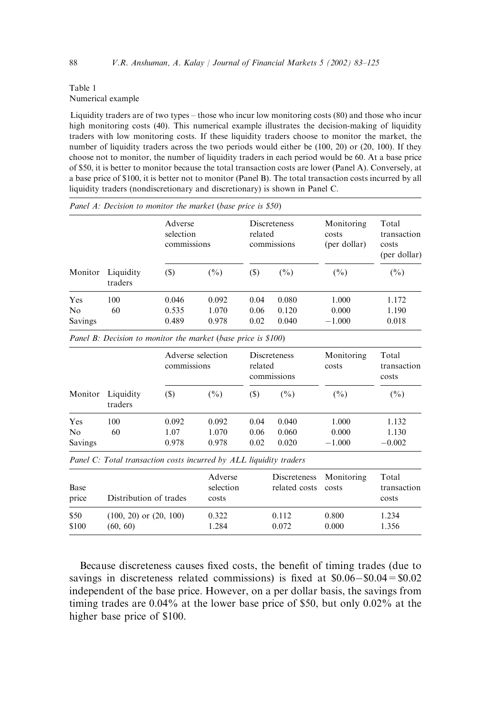### Table 1 Numerical example

Liquidity traders are of two types – those who incur low monitoring costs (80) and those who incur high monitoring costs (40). This numerical example illustrates the decision-making of liquidity traders with low monitoring costs. If these liquidity traders choose to monitor the market, the number of liquidity traders across the two periods would either be (100, 20) or (20, 100). If they choose not to monitor, the number of liquidity traders in each period would be 60. At a base price of \$50, it is better to monitor because the total transaction costs are lower (Panel A). Conversely, at a base price of \$100, it is better not to monitor (Panel B). The total transaction costs incurred by all liquidity traders (nondiscretionary and discretionary) is shown in Panel C.

| Total<br>transaction<br>costs<br>(per dollar) |
|-----------------------------------------------|
| $(\%)$                                        |
| 1.172                                         |
| 1.190                                         |
| 0.018                                         |
|                                               |
| Total<br>transaction<br>costs                 |
| $(\%)$                                        |
| 1.132                                         |
| 1.130                                         |
| $-0.002$                                      |
|                                               |

Panel C: Total transaction costs incurred by ALL liquidity traders

| Base<br>price | Distribution of trades     | Adverse<br>selection<br>costs | Discreteness Monitoring<br>related costs costs |       | Total<br>transaction<br>costs |
|---------------|----------------------------|-------------------------------|------------------------------------------------|-------|-------------------------------|
| \$50          | $(100, 20)$ or $(20, 100)$ | 0.322                         | 0.112                                          | 0.800 | 1.234                         |
| \$100         | (60, 60)                   | 1.284                         | 0.072                                          | 0.000 | 1.356                         |

Because discreteness causes fixed costs, the benefit of timing trades (due to savings in discreteness related commissions) is fixed at  $$0.06 - $0.04 = $0.02$ independent of the base price. However, on a per dollar basis, the savings from timing trades are 0.04% at the lower base price of \$50, but only 0.02% at the higher base price of \$100.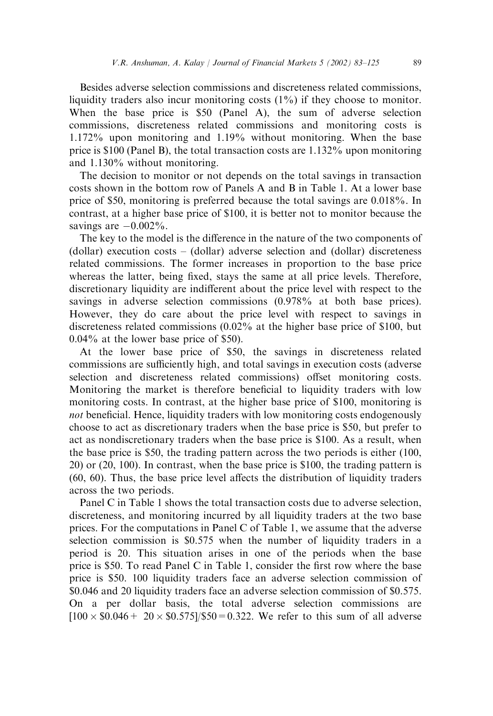Besides adverse selection commissions and discreteness related commissions, liquidity traders also incur monitoring costs (1%) if they choose to monitor. When the base price is \$50 (Panel A), the sum of adverse selection commissions, discreteness related commissions and monitoring costs is 1.172% upon monitoring and 1.19% without monitoring. When the base price is \$100 (Panel B), the total transaction costs are 1.132% upon monitoring and 1.130% without monitoring.

The decision to monitor or not depends on the total savings in transaction costs shown in the bottom row of Panels A and B in Table 1. At a lower base price of \$50, monitoring is preferred because the total savings are 0.018%. In contrast, at a higher base price of \$100, it is better not to monitor because the savings are  $-0.002\%$ .

The key to the model is the difference in the nature of the two components of (dollar) execution costs – (dollar) adverse selection and (dollar) discreteness related commissions. The former increases in proportion to the base price whereas the latter, being fixed, stays the same at all price levels. Therefore, discretionary liquidity are indifferent about the price level with respect to the savings in adverse selection commissions (0.978% at both base prices). However, they do care about the price level with respect to savings in discreteness related commissions (0.02% at the higher base price of \$100, but 0.04% at the lower base price of \$50).

At the lower base price of \$50, the savings in discreteness related commissions are sufficiently high, and total savings in execution costs (adverse selection and discreteness related commissions) offset monitoring costs. Monitoring the market is therefore beneficial to liquidity traders with low monitoring costs. In contrast, at the higher base price of \$100, monitoring is not beneficial. Hence, liquidity traders with low monitoring costs endogenously choose to act as discretionary traders when the base price is \$50, but prefer to act as nondiscretionary traders when the base price is \$100. As a result, when the base price is \$50, the trading pattern across the two periods is either (100, 20) or (20, 100). In contrast, when the base price is \$100, the trading pattern is (60, 60). Thus, the base price level affects the distribution of liquidity traders across the two periods.

Panel C in Table 1 shows the total transaction costs due to adverse selection, discreteness, and monitoring incurred by all liquidity traders at the two base prices. For the computations in Panel C of Table 1, we assume that the adverse selection commission is \$0.575 when the number of liquidity traders in a period is 20. This situation arises in one of the periods when the base price is \$50. To read Panel C in Table 1, consider the first row where the base price is \$50. 100 liquidity traders face an adverse selection commission of \$0.046 and 20 liquidity traders face an adverse selection commission of \$0.575. On a per dollar basis, the total adverse selection commissions are  $[100 \times $0.046 + 20 \times $0.575]/$50 = 0.322$ . We refer to this sum of all adverse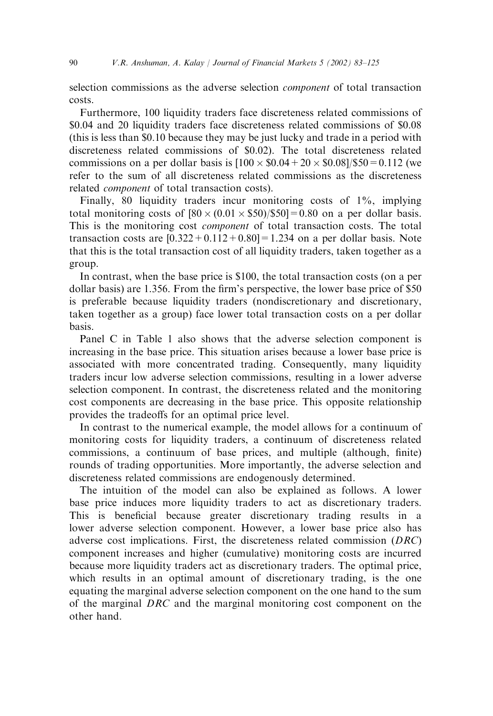selection commissions as the adverse selection component of total transaction costs.

Furthermore, 100 liquidity traders face discreteness related commissions of \$0.04 and 20 liquidity traders face discreteness related commissions of \$0.08 (this is less than \$0.10 because they may be just lucky and trade in a period with discreteness related commissions of \$0.02). The total discreteness related commissions on a per dollar basis is  $[100 \times $0.04 + 20 \times $0.08]/$50 = 0.112$  (we refer to the sum of all discreteness related commissions as the discreteness related component of total transaction costs).

Finally, 80 liquidity traders incur monitoring costs of 1%, implying total monitoring costs of  $[80 \times (0.01 \times $50)/$50] = 0.80$  on a per dollar basis. This is the monitoring cost component of total transaction costs. The total transaction costs are  $[0.322 + 0.112 + 0.80] = 1.234$  on a per dollar basis. Note that this is the total transaction cost of all liquidity traders, taken together as a group.

In contrast, when the base price is \$100, the total transaction costs (on a per dollar basis) are 1.356. From the firm's perspective, the lower base price of \$50 is preferable because liquidity traders (nondiscretionary and discretionary, taken together as a group) face lower total transaction costs on a per dollar basis.

Panel C in Table 1 also shows that the adverse selection component is increasing in the base price. This situation arises because a lower base price is associated with more concentrated trading. Consequently, many liquidity traders incur low adverse selection commissions, resulting in a lower adverse selection component. In contrast, the discreteness related and the monitoring cost components are decreasing in the base price. This opposite relationship provides the tradeoffs for an optimal price level.

In contrast to the numerical example, the model allows for a continuum of monitoring costs for liquidity traders, a continuum of discreteness related commissions, a continuum of base prices, and multiple (although, finite) rounds of trading opportunities. More importantly, the adverse selection and discreteness related commissions are endogenously determined.

The intuition of the model can also be explained as follows. A lower base price induces more liquidity traders to act as discretionary traders. This is beneficial because greater discretionary trading results in a lower adverse selection component. However, a lower base price also has adverse cost implications. First, the discreteness related commission (DRC) component increases and higher (cumulative) monitoring costs are incurred because more liquidity traders act as discretionary traders. The optimal price, which results in an optimal amount of discretionary trading, is the one equating the marginal adverse selection component on the one hand to the sum of the marginal DRC and the marginal monitoring cost component on the other hand.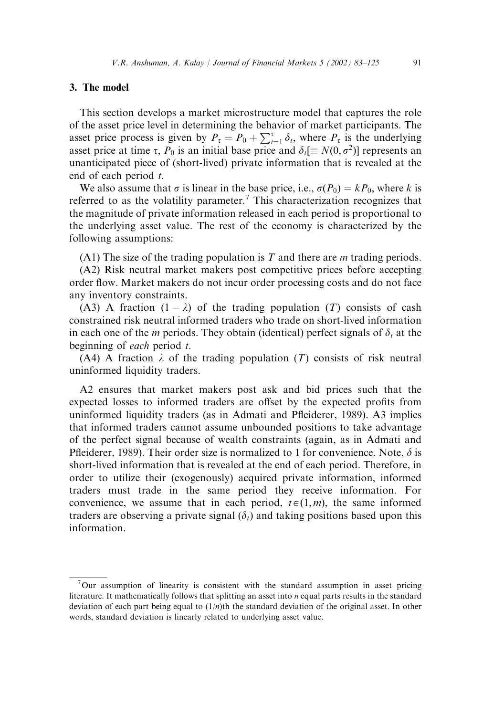### 3. The model

This section develops a market microstructure model that captures the role of the asset price level in determining the behavior of market participants. The asset price process is given by  $P_{\tau} = P_0 + \sum_{t=1}^{\tau} \delta_t$ , where  $P_{\tau}$  is the underlying asset price at time  $\tau$ ,  $P_0$  is an initial base price and  $\delta_t \equiv N(0, \sigma^2)$  represents an unanticipated piece of (short-lived) private information that is revealed at the end of each period  $t$ .

We also assume that  $\sigma$  is linear in the base price, i.e.,  $\sigma(P_0) = kP_0$ , where k is referred to as the volatility parameter.<sup>7</sup> This characterization recognizes that the magnitude of private information released in each period is proportional to the underlying asset value. The rest of the economy is characterized by the following assumptions:

(A1) The size of the trading population is T and there are m trading periods.

(A2) Risk neutral market makers post competitive prices before accepting order flow. Market makers do not incur order processing costs and do not face any inventory constraints.

(A3) A fraction  $(1 - \lambda)$  of the trading population (T) consists of cash constrained risk neutral informed traders who trade on short-lived information in each one of the *m* periods. They obtain (identical) perfect signals of  $\delta_t$  at the beginning of *each* period  $t$ .

(A4) A fraction  $\lambda$  of the trading population (T) consists of risk neutral uninformed liquidity traders.

A2 ensures that market makers post ask and bid prices such that the expected losses to informed traders are offset by the expected profits from uninformed liquidity traders (as in Admati and Pfleiderer, 1989). A3 implies that informed traders cannot assume unbounded positions to take advantage of the perfect signal because of wealth constraints (again, as in Admati and Pfleiderer, 1989). Their order size is normalized to 1 for convenience. Note,  $\delta$  is short-lived information that is revealed at the end of each period. Therefore, in order to utilize their (exogenously) acquired private information, informed traders must trade in the same period they receive information. For convenience, we assume that in each period,  $t \in (1, m)$ , the same informed traders are observing a private signal  $(\delta_t)$  and taking positions based upon this information.

 $7$ Our assumption of linearity is consistent with the standard assumption in asset pricing literature. It mathematically follows that splitting an asset into  $n$  equal parts results in the standard deviation of each part being equal to  $(1/n)$ th the standard deviation of the original asset. In other words, standard deviation is linearly related to underlying asset value.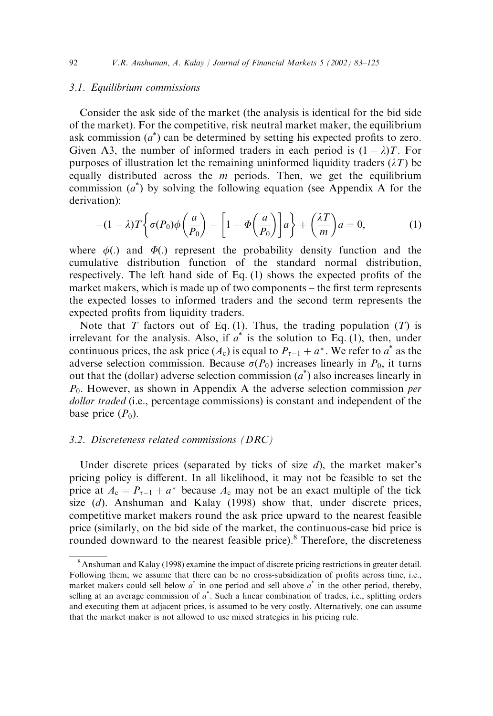### 3.1. Equilibrium commissions

Consider the ask side of the market (the analysis is identical for the bid side of the market). For the competitive, risk neutral market maker, the equilibrium ask commission  $(a^*)$  can be determined by setting his expected profits to zero. Given A3, the number of informed traders in each period is  $(1 - \lambda)T$ . For purposes of illustration let the remaining uninformed liquidity traders  $(\lambda T)$  be equally distributed across the  $m$  periods. Then, we get the equilibrium commission  $(a^*)$  by solving the following equation (see Appendix A for the derivation):

$$
-(1-\lambda)T\left\{\sigma(P_0)\phi\left(\frac{a}{P_0}\right) - \left[1 - \Phi\left(\frac{a}{P_0}\right)\right]a\right\} + \left(\frac{\lambda T}{m}\right)a = 0,\tag{1}
$$

where  $\phi(.)$  and  $\Phi(.)$  represent the probability density function and the cumulative distribution function of the standard normal distribution, respectively. The left hand side of Eq. (1) shows the expected profits of the market makers, which is made up of two components – the first term represents the expected losses to informed traders and the second term represents the expected profits from liquidity traders.

Note that T factors out of Eq. (1). Thus, the trading population  $(T)$  is irrelevant for the analysis. Also, if  $a^*$  is the solution to Eq. (1), then, under continuous prices, the ask price  $(A_c)$  is equal to  $P_{\tau-1} + a^*$ . We refer to  $a^*$  as the adverse selection commission. Because  $\sigma(P_0)$  increases linearly in  $P_0$ , it turns out that the (dollar) adverse selection commission  $(a^*)$  also increases linearly in  $P_0$ . However, as shown in Appendix A the adverse selection commission *per* dollar traded (i.e., percentage commissions) is constant and independent of the base price  $(P_0)$ .

### 3.2. Discreteness related commissions (DRC)

Under discrete prices (separated by ticks of size  $d$ ), the market maker's pricing policy is different. In all likelihood, it may not be feasible to set the price at  $A_c = P_{\tau-1} + a^*$  because  $A_c$  may not be an exact multiple of the tick size (d). Anshuman and Kalay (1998) show that, under discrete prices, competitive market makers round the ask price upward to the nearest feasible price (similarly, on the bid side of the market, the continuous-case bid price is rounded downward to the nearest feasible price).<sup>8</sup> Therefore, the discreteness

<sup>8</sup>Anshuman and Kalay (1998) examine the impact of discrete pricing restrictions in greater detail. Following them, we assume that there can be no cross-subsidization of profits across time, i.e., market makers could sell below  $a^*$  in one period and sell above  $a^*$  in the other period, thereby, selling at an average commission of  $a^*$ . Such a linear combination of trades, i.e., splitting orders and executing them at adjacent prices, is assumed to be very costly. Alternatively, one can assume that the market maker is not allowed to use mixed strategies in his pricing rule.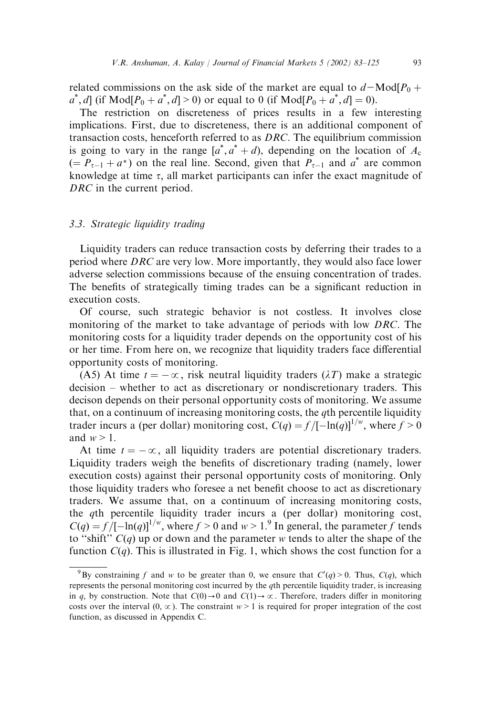related commissions on the ask side of the market are equal to  $d-Mod[P_0 +$  $a^*$ , *d*] (if  $\text{Mod}[P_0 + a^*, d] > 0$ ) or equal to 0 (if  $\text{Mod}[P_0 + a^*, d] = 0$ ).

The restriction on discreteness of prices results in a few interesting implications. First, due to discreteness, there is an additional component of transaction costs, henceforth referred to as DRC. The equilibrium commission is going to vary in the range  $[a^*, a^* + d)$ , depending on the location of  $A_c$  $(= P_{\tau-1} + a^*)$  on the real line. Second, given that  $P_{\tau-1}$  and  $a^*$  are common knowledge at time  $\tau$ , all market participants can infer the exact magnitude of DRC in the current period.

#### 3.3. Strategic liquidity trading

Liquidity traders can reduce transaction costs by deferring their trades to a period where DRC are very low. More importantly, they would also face lower adverse selection commissions because of the ensuing concentration of trades. The benefits of strategically timing trades can be a significant reduction in execution costs.

Of course, such strategic behavior is not costless. It involves close monitoring of the market to take advantage of periods with low DRC. The monitoring costs for a liquidity trader depends on the opportunity cost of his or her time. From here on, we recognize that liquidity traders face differential opportunity costs of monitoring.

(A5) At time  $t = -\infty$ , risk neutral liquidity traders ( $\lambda T$ ) make a strategic decision – whether to act as discretionary or nondiscretionary traders. This decison depends on their personal opportunity costs of monitoring. We assume that, on a continuum of increasing monitoring costs, the  $q$ th percentile liquidity trader incurs a (per dollar) monitoring cost,  $C(q) = f/[-\ln(q)]^{1/w}$ , where  $f > 0$ and  $w > 1$ .

At time  $t = -\infty$ , all liquidity traders are potential discretionary traders. Liquidity traders weigh the benefits of discretionary trading (namely, lower execution costs) against their personal opportunity costs of monitoring. Only those liquidity traders who foresee a net benefit choose to act as discretionary traders. We assume that, on a continuum of increasing monitoring costs, the qth percentile liquidity trader incurs a (per dollar) monitoring cost,  $C(q) = f/[ln(q)]^{1/w}$ , where  $f > 0$  and  $w > 1$ .<sup>9</sup> In general, the parameter f tends to "shift"  $C(q)$  up or down and the parameter w tends to alter the shape of the function  $C(q)$ . This is illustrated in Fig. 1, which shows the cost function for a

<sup>&</sup>lt;sup>9</sup>By constraining f and w to be greater than 0, we ensure that  $C'(q) > 0$ . Thus,  $C(q)$ , which represents the personal monitoring cost incurred by the  $q$ th percentile liquidity trader, is increasing in q, by construction. Note that  $C(0) \rightarrow 0$  and  $C(1) \rightarrow \infty$ . Therefore, traders differ in monitoring costs over the interval  $(0, \infty)$ . The constraint  $w > 1$  is required for proper integration of the cost function, as discussed in Appendix C.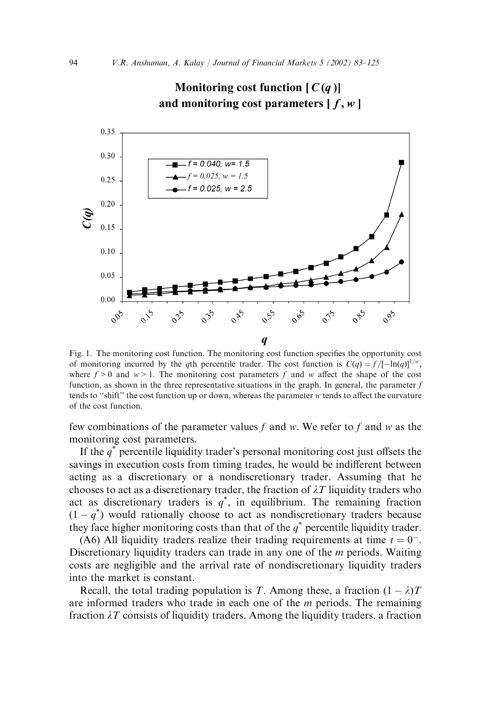

# Monitoring cost function  $[C(q)]$ and monitoring cost parameters  $[f, w]$

Fig. 1. The monitoring cost function. The monitoring cost function specifies the opportunity cost of monitoring incurred by the qth percentile trader. The cost function is  $C(q) = f/[-\ln(q)]^{1/w}$ ; where  $f > 0$  and  $w > 1$ . The monitoring cost parameters f and w affect the shape of the cost function, as shown in the three representative situations in the graph. In general, the parameter  $f$ tends to ''shift'' the cost function up or down, whereas the parameter w tends to affect the curvature of the cost function.

few combinations of the parameter values f and w. We refer to f and w as the monitoring cost parameters.

If the  $q^*$  percentile liquidity trader's personal monitoring cost just offsets the savings in execution costs from timing trades, he would be indifferent between acting as a discretionary or a nondiscretionary trader. Assuming that he chooses to act as a discretionary trader, the fraction of  $\lambda T$  liquidity traders who act as discretionary traders is  $q^*$ , in equilibrium. The remaining fraction  $(1 - q^*)$  would rationally choose to act as nondiscretionary traders because they face higher monitoring costs than that of the  $q^*$  percentile liquidity trader.

(A6) All liquidity traders realize their trading requirements at time  $t = 0^{-}$ . Discretionary liquidity traders can trade in any one of the  $m$  periods. Waiting costs are negligible and the arrival rate of nondiscretionary liquidity traders into the market is constant.

Recall, the total trading population is T. Among these, a fraction  $(1 - \lambda)T$ are informed traders who trade in each one of the  $m$  periods. The remaining fraction  $\lambda T$  consists of liquidity traders. Among the liquidity traders, a fraction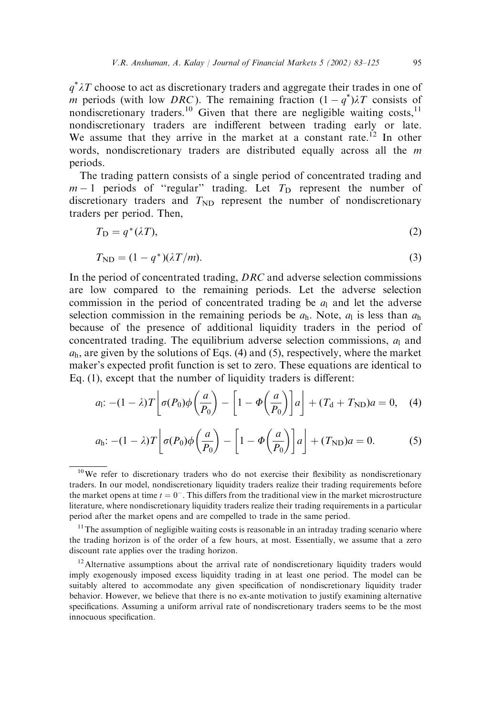$q^* \lambda T$  choose to act as discretionary traders and aggregate their trades in one of m periods (with low DRC). The remaining fraction  $(1 - q^*)\lambda T$  consists of nondiscretionary traders.<sup>10</sup> Given that there are negligible waiting costs,<sup>11</sup> nondiscretionary traders are indifferent between trading early or late. We assume that they arrive in the market at a constant rate.<sup>12</sup> In other words, nondiscretionary traders are distributed equally across all the  $m$ periods.

The trading pattern consists of a single period of concentrated trading and  $m-1$  periods of "regular" trading. Let  $T<sub>D</sub>$  represent the number of discretionary traders and  $T_{ND}$  represent the number of nondiscretionary traders per period. Then,

$$
T_{\mathcal{D}} = q^*(\lambda T),\tag{2}
$$

$$
T_{\rm ND} = (1 - q^*) (\lambda T / m). \tag{3}
$$

In the period of concentrated trading, DRC and adverse selection commissions are low compared to the remaining periods. Let the adverse selection commission in the period of concentrated trading be  $a<sub>l</sub>$  and let the adverse selection commission in the remaining periods be  $a_h$ . Note,  $a_l$  is less than  $a_h$ because of the presence of additional liquidity traders in the period of concentrated trading. The equilibrium adverse selection commissions,  $a<sub>l</sub>$  and  $a<sub>h</sub>$ , are given by the solutions of Eqs. (4) and (5), respectively, where the market maker's expected profit function is set to zero. These equations are identical to Eq. (1), except that the number of liquidity traders is different:

$$
a_{\mathbf{l}}: -(1-\lambda)T\left[\sigma(P_0)\phi\left(\frac{a}{P_0}\right) - \left[1 - \Phi\left(\frac{a}{P_0}\right)\right]a\right] + (T_{\mathbf{d}} + T_{\mathbf{ND}})a = 0, \quad (4)
$$

$$
a_{\rm h}: -(1-\lambda)T\left[\sigma(P_0)\phi\left(\frac{a}{P_0}\right) - \left[1 - \Phi\left(\frac{a}{P_0}\right)\right]a\right] + (T_{\rm ND})a = 0. \tag{5}
$$

<sup>&</sup>lt;sup>10</sup>We refer to discretionary traders who do not exercise their flexibility as nondiscretionary traders. In our model, nondiscretionary liquidity traders realize their trading requirements before the market opens at time  $t = 0^-$ . This differs from the traditional view in the market microstructure literature, where nondiscretionary liquidity traders realize their trading requirements in a particular period after the market opens and are compelled to trade in the same period.

<sup>&</sup>lt;sup>11</sup> The assumption of negligible waiting costs is reasonable in an intraday trading scenario where the trading horizon is of the order of a few hours, at most. Essentially, we assume that a zero discount rate applies over the trading horizon.

 $12$  Alternative assumptions about the arrival rate of nondiscretionary liquidity traders would imply exogenously imposed excess liquidity trading in at least one period. The model can be suitably altered to accommodate any given specification of nondiscretionary liquidity trader behavior. However, we believe that there is no ex-ante motivation to justify examining alternative specifications. Assuming a uniform arrival rate of nondiscretionary traders seems to be the most innocuous specification.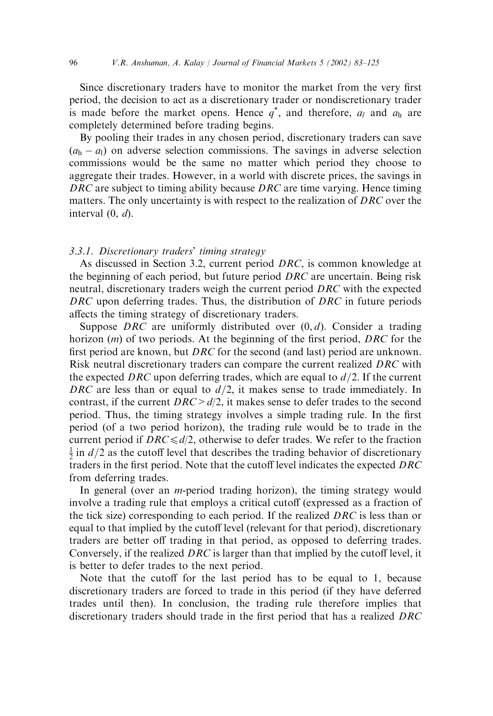Since discretionary traders have to monitor the market from the very first period, the decision to act as a discretionary trader or nondiscretionary trader is made before the market opens. Hence  $q^*$ , and therefore,  $a_l$  and  $a_h$  are completely determined before trading begins.

By pooling their trades in any chosen period, discretionary traders can save  $(a_h - a_l)$  on adverse selection commissions. The savings in adverse selection commissions would be the same no matter which period they choose to aggregate their trades. However, in a world with discrete prices, the savings in DRC are subject to timing ability because DRC are time varying. Hence timing matters. The only uncertainty is with respect to the realization of DRC over the interval  $(0, d)$ .

### 3.3.1. Discretionary traders' timing strategy

As discussed in Section 3.2, current period DRC, is common knowledge at the beginning of each period, but future period DRC are uncertain. Being risk neutral, discretionary traders weigh the current period DRC with the expected DRC upon deferring trades. Thus, the distribution of DRC in future periods affects the timing strategy of discretionary traders.

Suppose *DRC* are uniformly distributed over  $(0, d)$ . Consider a trading horizon (*m*) of two periods. At the beginning of the first period, DRC for the first period are known, but DRC for the second (and last) period are unknown. Risk neutral discretionary traders can compare the current realized DRC with the expected DRC upon deferring trades, which are equal to  $d/2$ . If the current DRC are less than or equal to  $d/2$ , it makes sense to trade immediately. In contrast, if the current  $DRC > d/2$ , it makes sense to defer trades to the second period. Thus, the timing strategy involves a simple trading rule. In the first period (of a two period horizon), the trading rule would be to trade in the current period if  $DRC \le d/2$ , otherwise to defer trades. We refer to the fraction  $\frac{1}{2}$  in  $d/2$  as the cutoff level that describes the trading behavior of discretionary traders in the first period. Note that the cutoff level indicates the expected DRC from deferring trades.

In general (over an *m*-period trading horizon), the timing strategy would involve a trading rule that employs a critical cutoff (expressed as a fraction of the tick size) corresponding to each period. If the realized DRC is less than or equal to that implied by the cutoff level (relevant for that period), discretionary traders are better off trading in that period, as opposed to deferring trades. Conversely, if the realized DRC is larger than that implied by the cutoff level, it is better to defer trades to the next period.

Note that the cutoff for the last period has to be equal to 1, because discretionary traders are forced to trade in this period (if they have deferred trades until then). In conclusion, the trading rule therefore implies that discretionary traders should trade in the first period that has a realized DRC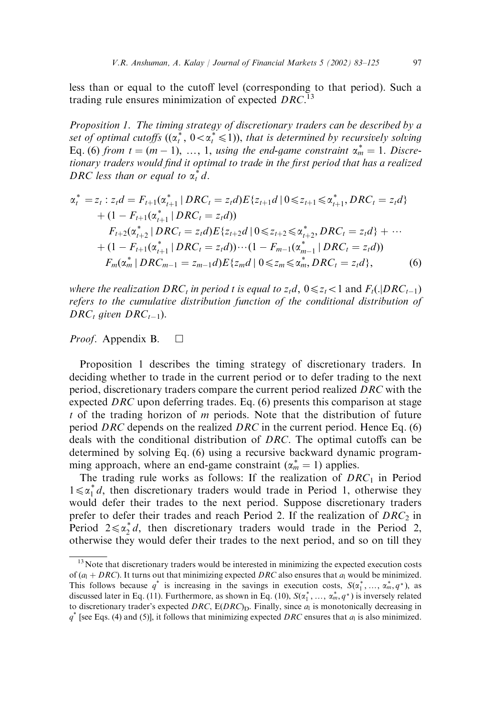less than or equal to the cutoff level (corresponding to that period). Such a trading rule ensures minimization of expected  $DRC$ .<sup>13</sup>

Proposition 1. The timing strategy of discretionary traders can be described by a set of optimal cutoffs  $((\alpha_t^*, 0<\alpha_t^*\leqslant 1))$ , that is determined by recursively solving Eq. (6) from  $t = (m - 1)$ , ..., 1, using the end-game constraint  $\alpha_m^* = 1$ . Discretionary traders would find it optimal to trade in the first period that has a realized DRC less than or equal to  $\alpha_t^*$  d.

$$
\alpha_t^* = z_t : z_t d = F_{t+1}(\alpha_{t+1}^* \mid DRC_t = z_t d) E\{z_{t+1} d \mid 0 \le z_{t+1} \le \alpha_{t+1}^*, DRC_t = z_t d\}
$$
  
+ 
$$
(1 - F_{t+1}(\alpha_{t+1}^* \mid DRC_t = z_t d))
$$
  

$$
F_{t+2}(\alpha_{t+2}^* \mid DRC_t = z_t d) E\{z_{t+2} d \mid 0 \le z_{t+2} \le \alpha_{t+2}^*, DRC_t = z_t d\} + \cdots
$$
  
+ 
$$
(1 - F_{t+1}(\alpha_{t+1}^* \mid DRC_t = z_t d)) \cdots (1 - F_{m-1}(\alpha_{m-1}^* \mid DRC_t = z_t d))
$$
  

$$
F_m(\alpha_m^* \mid DRC_{m-1} = z_{m-1} d) E\{z_m d \mid 0 \le z_m \le \alpha_m^*, DRC_t = z_t d\}, \qquad (6)
$$

where the realization DRC<sub>t</sub> in period t is equal to  $z_t$ ,  $0 \le z_t$  and  $F_t(.|DRC_{t-1})$ refers to the cumulative distribution function of the conditional distribution of  $DRC_t$  given  $DRC_{t-1}$ ).

### *Proof.* Appendix B.  $\Box$

Proposition 1 describes the timing strategy of discretionary traders. In deciding whether to trade in the current period or to defer trading to the next period, discretionary traders compare the current period realized DRC with the expected DRC upon deferring trades. Eq. (6) presents this comparison at stage  $t$  of the trading horizon of  $m$  periods. Note that the distribution of future period DRC depends on the realized DRC in the current period. Hence Eq. (6) deals with the conditional distribution of DRC. The optimal cutoffs can be determined by solving Eq. (6) using a recursive backward dynamic programming approach, where an end-game constraint ( $\alpha_m^* = 1$ ) applies.

The trading rule works as follows: If the realization of  $DRC<sub>1</sub>$  in Period  $1 \le \alpha_1^* d$ , then discretionary traders would trade in Period 1, otherwise they would defer their trades to the next period. Suppose discretionary traders prefer to defer their trades and reach Period 2. If the realization of  $DRC_2$  in Period  $2 \le \alpha_2^* d$ , then discretionary traders would trade in the Period 2, otherwise they would defer their trades to the next period, and so on till they

<sup>&</sup>lt;sup>13</sup> Note that discretionary traders would be interested in minimizing the expected execution costs of  $(a_1 + DRC)$ . It turns out that minimizing expected DRC also ensures that  $a_1$  would be minimized. This follows because  $q^*$  is increasing in the savings in execution costs,  $S(\alpha_1^*, \ldots, \alpha_m^*, q^*)$ , as discussed later in Eq. (11). Furthermore, as shown in Eq. (10),  $S(\alpha_1^*, \ldots, \alpha_m^*, q^*)$  is inversely related to discretionary trader's expected DRC,  $E(DRC)$ <sub>D</sub>. Finally, since  $a<sub>l</sub>$  is monotonically decreasing in  $q^*$  [see Eqs. (4) and (5)], it follows that minimizing expected DRC ensures that  $a_1$  is also minimized.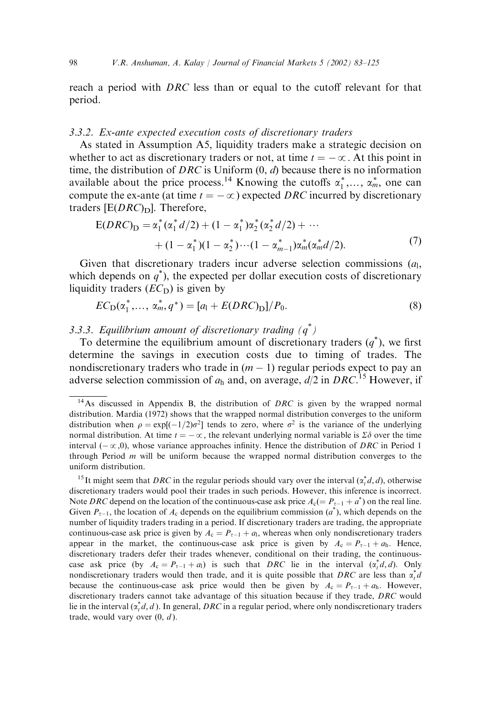reach a period with DRC less than or equal to the cutoff relevant for that period.

### 3.3.2. Ex-ante expected execution costs of discretionary traders

As stated in Assumption A5, liquidity traders make a strategic decision on whether to act as discretionary traders or not, at time  $t = -\infty$ . At this point in time, the distribution of DRC is Uniform  $(0, d)$  because there is no information available about the price process.<sup>14</sup> Knowing the cutoffs  $\alpha_1^*, \ldots, \alpha_m^*$ , one can compute the ex-ante (at time  $t = -\infty$ ) expected DRC incurred by discretionary traders  $[E(DRC)_D]$ . Therefore,

$$
E(DRC)_{D} = \alpha_{1}^{*}(\alpha_{1}^{*}d/2) + (1 - \alpha_{1}^{*})\alpha_{2}^{*}(\alpha_{2}^{*}d/2) + \cdots
$$
  
+ 
$$
(1 - \alpha_{1}^{*})(1 - \alpha_{2}^{*})\cdots(1 - \alpha_{m-1}^{*})\alpha_{m}^{*}(\alpha_{m}^{*}d/2).
$$
 (7)

Given that discretionary traders incur adverse selection commissions  $(a_1, a_2)$ which depends on  $q^*$ ), the expected per dollar execution costs of discretionary liquidity traders  $(EC<sub>D</sub>)$  is given by

$$
EC_{D}(\alpha_1^*, \ldots, \alpha_m^*, q^*) = [a_1 + E(DRC)_{D}]/P_0.
$$
\n(8)

# 3.3.3. Equilibrium amount of discretionary trading  $(q^*)$

To determine the equilibrium amount of discretionary traders  $(q^*)$ , we first determine the savings in execution costs due to timing of trades. The nondiscretionary traders who trade in  $(m - 1)$  regular periods expect to pay an adverse selection commission of  $a_h$  and, on average,  $d/2$  in DRC.<sup>15</sup> However, if

 $14$ As discussed in Appendix B, the distribution of DRC is given by the wrapped normal distribution. Mardia (1972) shows that the wrapped normal distribution converges to the uniform distribution when  $\rho = \exp[(-1/2)\sigma^2]$  tends to zero, where  $\sigma^2$  is the variance of the underlying normal distribution. At time  $t = -\infty$ , the relevant underlying normal variable is  $\Sigma \delta$  over the time interval  $(-\infty,0)$ , whose variance approaches infinity. Hence the distribution of DRC in Period 1 through Period m will be uniform because the wrapped normal distribution converges to the uniform distribution.

<sup>&</sup>lt;sup>15</sup> It might seem that DRC in the regular periods should vary over the interval  $(\alpha_t^* d, d)$ , otherwise discretionary traders would pool their trades in such periods. However, this inference is incorrect. Note DRC depend on the location of the continuous-case ask price  $A_c$   $(= P_{\tau-1} + a^*)$  on the real line. Given  $P_{\tau-1}$ , the location of  $A_c$  depends on the equilibrium commission  $(a^*)$ , which depends on the number of liquidity traders trading in a period. If discretionary traders are trading, the appropriate continuous-case ask price is given by  $A_c = P_{\tau-1} + a_l$ , whereas when only nondiscretionary traders appear in the market, the continuous-case ask price is given by  $A_c = P_{\tau-1} + a_h$ . Hence, discretionary traders defer their trades whenever, conditional on their trading, the continuouscase ask price (by  $A_c = P_{\tau-1} + a_l$ ) is such that DRC lie in the interval  $(\alpha_i^* d, d)$ . Only nondiscretionary traders would then trade, and it is quite possible that DRC are less than  $\alpha_t^*d$ because the continuous-case ask price would then be given by  $A_c = P_{t-1} + a_h$ . However, discretionary traders cannot take advantage of this situation because if they trade, DRC would lie in the interval  $(\alpha_t^* d, d)$ . In general, *DRC* in a regular period, where only nondiscretionary traders trade, would vary over  $(0, d)$ .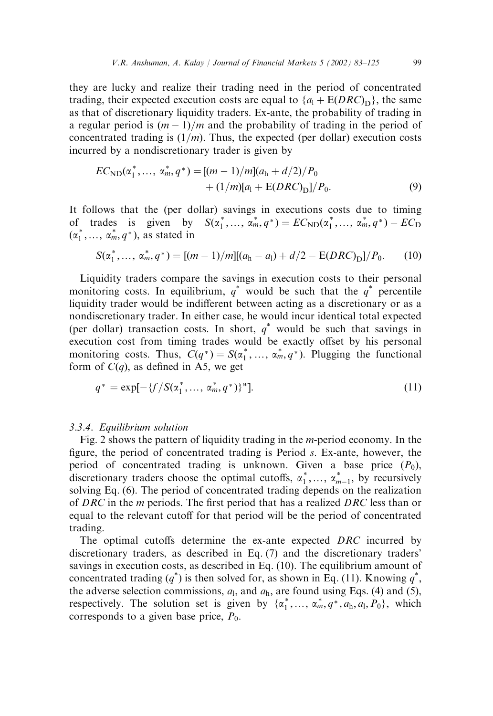they are lucky and realize their trading need in the period of concentrated trading, their expected execution costs are equal to  $\{a_1 + E(DRC)_{D}\}\$ , the same as that of discretionary liquidity traders. Ex-ante, the probability of trading in a regular period is  $(m-1)/m$  and the probability of trading in the period of concentrated trading is  $(1/m)$ . Thus, the expected (per dollar) execution costs incurred by a nondiscretionary trader is given by

$$
EC_{ND}(\alpha_1^*, \ldots, \alpha_m^*, q^*) = [(m-1)/m](a_h + d/2)/P_0 + (1/m)[a_l + E(DRC)_D]/P_0.
$$
\n(9)

It follows that the (per dollar) savings in executions costs due to timing of trades is given by  $S(\alpha_1^*, \ldots, \alpha_m^*, q^*) = EC_{ND}(\alpha_1^*, \ldots, \alpha_m^*, q^*) - EC_D$  $(\alpha_1^*, \ldots, \alpha_m^*, q^*)$ , as stated in

$$
S(\alpha_1^*, \ldots, \alpha_m^*, q^*) = [(m-1)/m][(a_h - a_l) + d/2 - E(DRC)_{\text{D}}]/P_0. \tag{10}
$$

Liquidity traders compare the savings in execution costs to their personal monitoring costs. In equilibrium,  $q^*$  would be such that the  $q^*$  percentile liquidity trader would be indifferent between acting as a discretionary or as a nondiscretionary trader. In either case, he would incur identical total expected (per dollar) transaction costs. In short,  $q^*$  would be such that savings in execution cost from timing trades would be exactly offset by his personal monitoring costs. Thus,  $C(q^*) = S(\alpha_1^*, \ldots, \alpha_m^*, q^*)$ . Plugging the functional form of  $C(q)$ , as defined in A5, we get

$$
q^* = \exp[-\{f/S(\alpha_1^*, \dots, \alpha_m^*, q^*)\}^w].
$$
\n(11)

#### 3.3.4. Equilibrium solution

Fig. 2 shows the pattern of liquidity trading in the m-period economy. In the figure, the period of concentrated trading is Period s: Ex-ante, however, the period of concentrated trading is unknown. Given a base price  $(P_0)$ , discretionary traders choose the optimal cutoffs,  $\alpha_1^*, \ldots, \alpha_{m-1}^*$ , by recursively solving Eq. (6). The period of concentrated trading depends on the realization of DRC in the m periods. The first period that has a realized DRC less than or equal to the relevant cutoff for that period will be the period of concentrated trading.

The optimal cutoffs determine the ex-ante expected DRC incurred by discretionary traders, as described in Eq. (7) and the discretionary traders' savings in execution costs, as described in Eq. (10). The equilibrium amount of concentrated trading  $(q^*)$  is then solved for, as shown in Eq. (11). Knowing  $q^*$ , the adverse selection commissions,  $a<sub>l</sub>$ , and  $a<sub>h</sub>$ , are found using Eqs. (4) and (5), respectively. The solution set is given by  $\{\alpha_1^*, \ldots, \alpha_m^*, q^*, a_h, a_l, P_0\}$ , which corresponds to a given base price,  $P_0$ .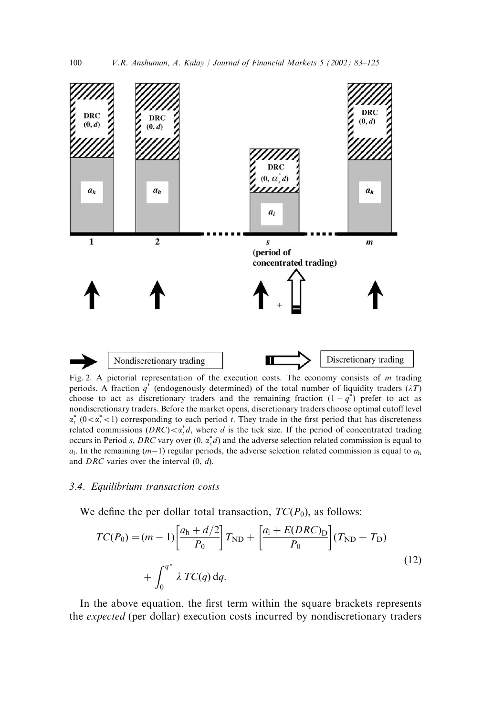

Fig. 2. A pictorial representation of the execution costs. The economy consists of  $m$  trading periods. A fraction  $q^*$  (endogenously determined) of the total number of liquidity traders ( $\lambda T$ ) choose to act as discretionary traders and the remaining fraction  $(1 - q^*)$  prefer to act as nondiscretionary traders. Before the market opens, discretionary traders choose optimal cutoff level  $\alpha_t^*$  (0< $\alpha_t^*$  < 1) corresponding to each period t. They trade in the first period that has discreteness related commissions  $(DRC) < \alpha_i^*d$ , where d is the tick size. If the period of concentrated trading occurs in Period s, DRC vary over  $(0, \alpha_s^* d)$  and the adverse selection related commission is equal to  $a_1$ . In the remaining  $(m-1)$  regular periods, the adverse selection related commission is equal to  $a_h$ and DRC varies over the interval  $(0, d)$ .

#### 3.4. Equilibrium transaction costs

We define the per dollar total transaction,  $TC(P_0)$ , as follows:

$$
TC(P_0) = (m-1)\left[\frac{a_h + d/2}{P_0}\right]T_{ND} + \left[\frac{a_l + E(DRC)_D}{P_0}\right](T_{ND} + T_D) + \int_0^{q^*} \lambda TC(q) \, dq. \tag{12}
$$

In the above equation, the first term within the square brackets represents the expected (per dollar) execution costs incurred by nondiscretionary traders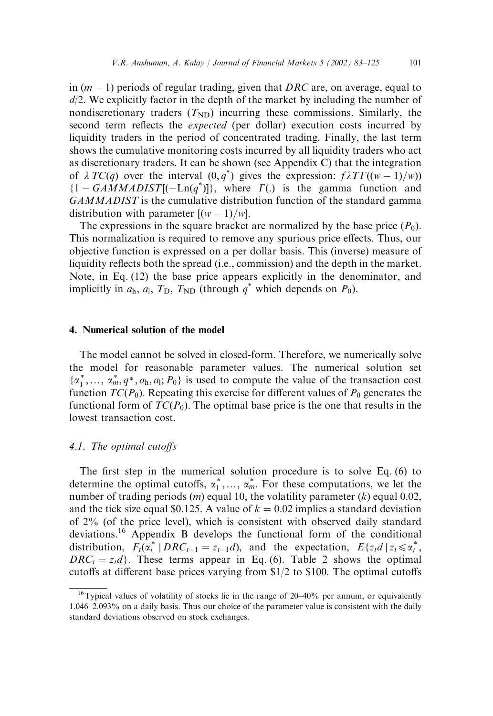in  $(m - 1)$  periods of regular trading, given that DRC are, on average, equal to  $d/2$ . We explicitly factor in the depth of the market by including the number of nondiscretionary traders  $(T<sub>ND</sub>)$  incurring these commissions. Similarly, the second term reflects the *expected* (per dollar) execution costs incurred by liquidity traders in the period of concentrated trading. Finally, the last term shows the cumulative monitoring costs incurred by all liquidity traders who act as discretionary traders. It can be shown (see Appendix C) that the integration of  $\lambda TC(q)$  over the interval  $(0, q^*)$  gives the expression:  $f\lambda TT((w-1)/w)$  ${1 - GAMMADIST[(-\text{Ln}(q^*)]}$ , where  $\Gamma(.)$  is the gamma function and GAMMADIST is the cumulative distribution function of the standard gamma distribution with parameter  $[(w-1)/w]$ .

The expressions in the square bracket are normalized by the base price  $(P_0)$ . This normalization is required to remove any spurious price effects. Thus, our objective function is expressed on a per dollar basis. This (inverse) measure of liquidity reflects both the spread (i.e., commission) and the depth in the market. Note, in Eq. (12) the base price appears explicitly in the denominator, and implicitly in  $a_h$ ,  $a_l$ ,  $T_D$ ,  $T_{ND}$  (through  $q^*$  which depends on  $P_0$ ).

### 4. Numerical solution of the model

The model cannot be solved in closed-form. Therefore, we numerically solve the model for reasonable parameter values. The numerical solution set  $\{\alpha_1^*,\ldots,\alpha_m^*,q^*,a_{\rm h},a_{\rm l};P_0\}$  is used to compute the value of the transaction cost function  $TC(P_0)$ . Repeating this exercise for different values of  $P_0$  generates the functional form of  $TC(P_0)$ . The optimal base price is the one that results in the lowest transaction cost.

### 4.1. The optimal cutoffs

The first step in the numerical solution procedure is to solve Eq. (6) to determine the optimal cutoffs,  $\alpha_1^*, \ldots, \alpha_m^*$ . For these computations, we let the number of trading periods  $(m)$  equal 10, the volatility parameter  $(k)$  equal 0.02, and the tick size equal \$0.125. A value of  $k = 0.02$  implies a standard deviation of 2% (of the price level), which is consistent with observed daily standard deviations.16 Appendix B develops the functional form of the conditional distribution,  $F_t(\alpha_t^* | DRC_{t-1} = z_{t-1}d)$ , and the expectation,  $E\{z_t d | z_t \leq \alpha_t^*$ ,  $DRC<sub>t</sub> = z<sub>t</sub>d$ . These terms appear in Eq. (6). Table 2 shows the optimal cutoffs at different base prices varying from \$1/2 to \$100. The optimal cutoffs

<sup>&</sup>lt;sup>16</sup>Typical values of volatility of stocks lie in the range of  $20-40%$  per annum, or equivalently 1.046–2.093% on a daily basis. Thus our choice of the parameter value is consistent with the daily standard deviations observed on stock exchanges.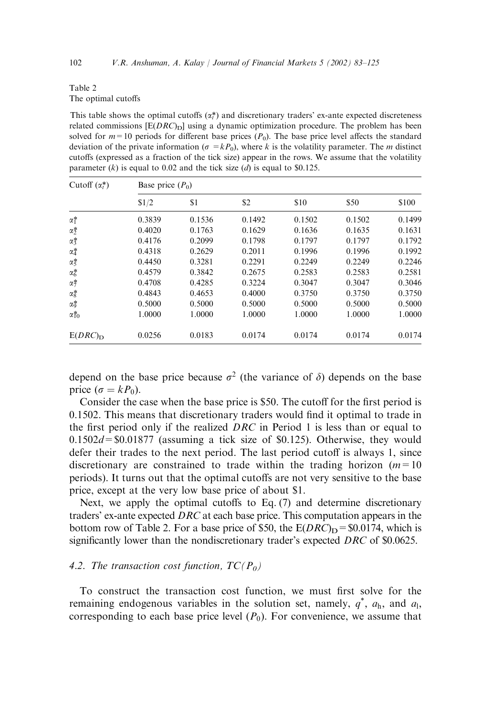### Table 2 The optimal cutoffs

This table shows the optimal cutoffs  $(\alpha_i^*)$  and discretionary traders' ex-ante expected discreteness related commissions  $[E(DRC)_D]$  using a dynamic optimization procedure. The problem has been solved for  $m=10$  periods for different base prices ( $P_0$ ). The base price level affects the standard deviation of the private information ( $\sigma = kP_0$ ), where k is the volatility parameter. The m distinct cutoffs (expressed as a fraction of the tick size) appear in the rows. We assume that the volatility parameter  $(k)$  is equal to 0.02 and the tick size  $(d)$  is equal to \$0.125.

| Cutoff $(\alpha_t^*)$ | Base price $(P_0)$ |        |        |        |        |        |  |  |  |
|-----------------------|--------------------|--------|--------|--------|--------|--------|--|--|--|
|                       | \$1/2              | \$1    | \$2    | \$10   | \$50   | \$100  |  |  |  |
| αŤ                    | 0.3839             | 0.1536 | 0.1492 | 0.1502 | 0.1502 | 0.1499 |  |  |  |
| $\alpha_2^*$          | 0.4020             | 0.1763 | 0.1629 | 0.1636 | 0.1635 | 0.1631 |  |  |  |
| α‡                    | 0.4176             | 0.2099 | 0.1798 | 0.1797 | 0.1797 | 0.1792 |  |  |  |
| αŤ                    | 0.4318             | 0.2629 | 0.2011 | 0.1996 | 0.1996 | 0.1992 |  |  |  |
| αŧ                    | 0.4450             | 0.3281 | 0.2291 | 0.2249 | 0.2249 | 0.2246 |  |  |  |
| αř                    | 0.4579             | 0.3842 | 0.2675 | 0.2583 | 0.2583 | 0.2581 |  |  |  |
| $\alpha_7^*$          | 0.4708             | 0.4285 | 0.3224 | 0.3047 | 0.3047 | 0.3046 |  |  |  |
| $\alpha_8^*$          | 0.4843             | 0.4653 | 0.4000 | 0.3750 | 0.3750 | 0.3750 |  |  |  |
| α\$                   | 0.5000             | 0.5000 | 0.5000 | 0.5000 | 0.5000 | 0.5000 |  |  |  |
| $\alpha_{10}^*$       | 1.0000             | 1.0000 | 1.0000 | 1.0000 | 1.0000 | 1.0000 |  |  |  |
| $E(DRC)_{D}$          | 0.0256             | 0.0183 | 0.0174 | 0.0174 | 0.0174 | 0.0174 |  |  |  |

depend on the base price because  $\sigma^2$  (the variance of  $\delta$ ) depends on the base price  $(\sigma = kP_0)$ .

Consider the case when the base price is \$50. The cutoff for the first period is 0.1502. This means that discretionary traders would find it optimal to trade in the first period only if the realized DRC in Period 1 is less than or equal to  $0.1502d = $0.01877$  (assuming a tick size of \$0.125). Otherwise, they would defer their trades to the next period. The last period cutoff is always 1, since discretionary are constrained to trade within the trading horizon  $(m=10)$ periods). It turns out that the optimal cutoffs are not very sensitive to the base price, except at the very low base price of about \$1.

Next, we apply the optimal cutoffs to Eq. (7) and determine discretionary traders' ex-ante expected DRC at each base price. This computation appears in the bottom row of Table 2. For a base price of \$50, the  $E(DRC)_{D} = $0.0174$ , which is significantly lower than the nondiscretionary trader's expected DRC of \$0.0625.

### 4.2. The transaction cost function,  $TC(P_0)$

To construct the transaction cost function, we must first solve for the remaining endogenous variables in the solution set, namely,  $q^*$ ,  $a<sub>h</sub>$ , and  $a<sub>l</sub>$ , corresponding to each base price level  $(P_0)$ . For convenience, we assume that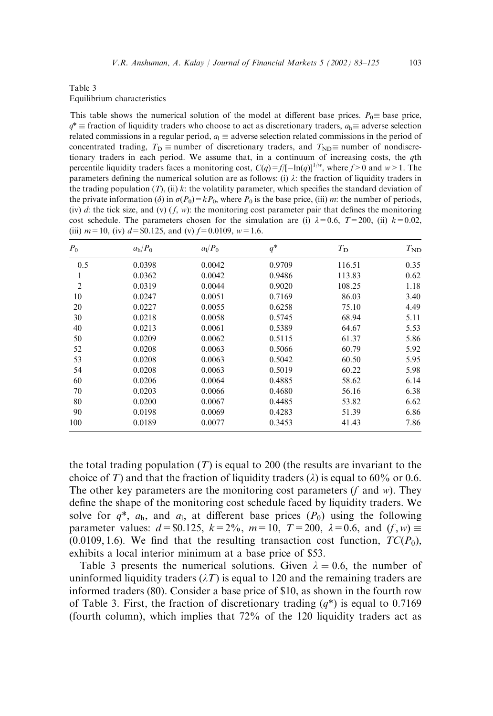#### Table 3

Equilibrium characteristics

This table shows the numerical solution of the model at different base prices.  $P_0 \equiv$  base price,  $q^*$   $\equiv$  fraction of liquidity traders who choose to act as discretionary traders,  $a_h$  $\equiv$  adverse selection related commissions in a regular period,  $a<sub>l</sub> \equiv$  adverse selection related commissions in the period of concentrated trading,  $T_D \equiv$  number of discretionary traders, and  $T_{ND} \equiv$  number of nondiscretionary traders in each period. We assume that, in a continuum of increasing costs, the  $q$ th percentile liquidity traders faces a monitoring cost,  $C(q) = f/[-\ln(q)]^{1/w}$ , where  $f > 0$  and  $w > 1$ . The parameters defining the numerical solution are as follows: (i)  $\lambda$ : the fraction of liquidity traders in the trading population  $(T)$ , (ii) k: the volatility parameter, which specifies the standard deviation of the private information ( $\delta$ ) in  $\sigma(P_0)=kP_0$ , where  $P_0$  is the base price, (iii) m: the number of periods, (iv) d: the tick size, and (v)  $(f, w)$ : the monitoring cost parameter pair that defines the monitoring cost schedule. The parameters chosen for the simulation are (i)  $\lambda = 0.6$ , T = 200, (ii) k = 0.02, (iii)  $m=10$ , (iv)  $d=$  \$0.125, and (v)  $f=$  0.0109,  $w=1.6$ .

| $P_{0}$        | $a_{\rm h}/P_0$ | $a_l/P_0$ | $q^*$  | $T_{\rm D}$ | $T_{\rm ND}$ |
|----------------|-----------------|-----------|--------|-------------|--------------|
| 0.5            | 0.0398          | 0.0042    | 0.9709 | 116.51      | 0.35         |
| 1              | 0.0362          | 0.0042    | 0.9486 | 113.83      | 0.62         |
| $\overline{2}$ | 0.0319          | 0.0044    | 0.9020 | 108.25      | 1.18         |
| 10             | 0.0247          | 0.0051    | 0.7169 | 86.03       | 3.40         |
| 20             | 0.0227          | 0.0055    | 0.6258 | 75.10       | 4.49         |
| 30             | 0.0218          | 0.0058    | 0.5745 | 68.94       | 5.11         |
| 40             | 0.0213          | 0.0061    | 0.5389 | 64.67       | 5.53         |
| 50             | 0.0209          | 0.0062    | 0.5115 | 61.37       | 5.86         |
| 52             | 0.0208          | 0.0063    | 0.5066 | 60.79       | 5.92         |
| 53             | 0.0208          | 0.0063    | 0.5042 | 60.50       | 5.95         |
| 54             | 0.0208          | 0.0063    | 0.5019 | 60.22       | 5.98         |
| 60             | 0.0206          | 0.0064    | 0.4885 | 58.62       | 6.14         |
| 70             | 0.0203          | 0.0066    | 0.4680 | 56.16       | 6.38         |
| 80             | 0.0200          | 0.0067    | 0.4485 | 53.82       | 6.62         |
| 90             | 0.0198          | 0.0069    | 0.4283 | 51.39       | 6.86         |
| 100            | 0.0189          | 0.0077    | 0.3453 | 41.43       | 7.86         |

the total trading population  $(T)$  is equal to 200 (the results are invariant to the choice of T) and that the fraction of liquidity traders ( $\lambda$ ) is equal to 60% or 0.6. The other key parameters are the monitoring cost parameters  $(f \text{ and } w)$ . They define the shape of the monitoring cost schedule faced by liquidity traders. We solve for  $q^*$ ,  $a_h$ , and  $a_l$ , at different base prices  $(P_0)$  using the following parameter values:  $d = 0.125$ ,  $k = 2\%$ ,  $m = 10$ ,  $T = 200$ ,  $\lambda = 0.6$ , and  $(f, w) \equiv$  $(0.0109, 1.6)$ . We find that the resulting transaction cost function,  $TC(P_0)$ , exhibits a local interior minimum at a base price of \$53.

Table 3 presents the numerical solutions. Given  $\lambda = 0.6$ , the number of uninformed liquidity traders  $(\lambda T)$  is equal to 120 and the remaining traders are informed traders (80). Consider a base price of \$10, as shown in the fourth row of Table 3. First, the fraction of discretionary trading  $(q^*)$  is equal to 0.7169 (fourth column), which implies that 72% of the 120 liquidity traders act as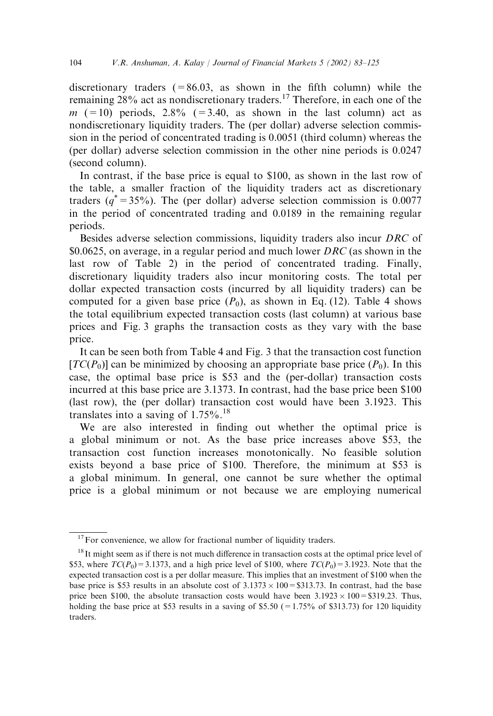discretionary traders  $(=86.03,$  as shown in the fifth column) while the remaining 28% act as nondiscretionary traders.17 Therefore, in each one of the  $m$  (=10) periods, 2.8% (=3.40, as shown in the last column) act as nondiscretionary liquidity traders. The (per dollar) adverse selection commission in the period of concentrated trading is 0.0051 (third column) whereas the (per dollar) adverse selection commission in the other nine periods is 0.0247 (second column).

In contrast, if the base price is equal to \$100, as shown in the last row of the table, a smaller fraction of the liquidity traders act as discretionary traders  $(q^* = 35\%)$ . The (per dollar) adverse selection commission is 0.0077 in the period of concentrated trading and 0.0189 in the remaining regular periods.

Besides adverse selection commissions, liquidity traders also incur DRC of \$0.0625, on average, in a regular period and much lower DRC (as shown in the last row of Table 2) in the period of concentrated trading. Finally, discretionary liquidity traders also incur monitoring costs. The total per dollar expected transaction costs (incurred by all liquidity traders) can be computed for a given base price  $(P_0)$ , as shown in Eq. (12). Table 4 shows the total equilibrium expected transaction costs (last column) at various base prices and Fig. 3 graphs the transaction costs as they vary with the base price.

It can be seen both from Table 4 and Fig. 3 that the transaction cost function  $[TC(P_0)]$  can be minimized by choosing an appropriate base price  $(P_0)$ . In this case, the optimal base price is \$53 and the (per-dollar) transaction costs incurred at this base price are 3.1373. In contrast, had the base price been \$100 (last row), the (per dollar) transaction cost would have been 3.1923. This translates into a saving of  $1.75\%$ .<sup>18</sup>

We are also interested in finding out whether the optimal price is a global minimum or not. As the base price increases above \$53, the transaction cost function increases monotonically. No feasible solution exists beyond a base price of \$100. Therefore, the minimum at \$53 is a global minimum. In general, one cannot be sure whether the optimal price is a global minimum or not because we are employing numerical

<sup>&</sup>lt;sup>17</sup> For convenience, we allow for fractional number of liquidity traders.

<sup>&</sup>lt;sup>18</sup> It might seem as if there is not much difference in transaction costs at the optimal price level of \$53, where  $TC(P_0) = 3.1373$ , and a high price level of \$100, where  $TC(P_0) = 3.1923$ . Note that the expected transaction cost is a per dollar measure. This implies that an investment of \$100 when the base price is \$53 results in an absolute cost of  $3.1373 \times 100 = $313.73$ . In contrast, had the base price been \$100, the absolute transaction costs would have been  $3.1923 \times 100 = $319.23$ . Thus, holding the base price at \$53 results in a saving of \$5.50 ( $=1.75\%$  of \$313.73) for 120 liquidity traders.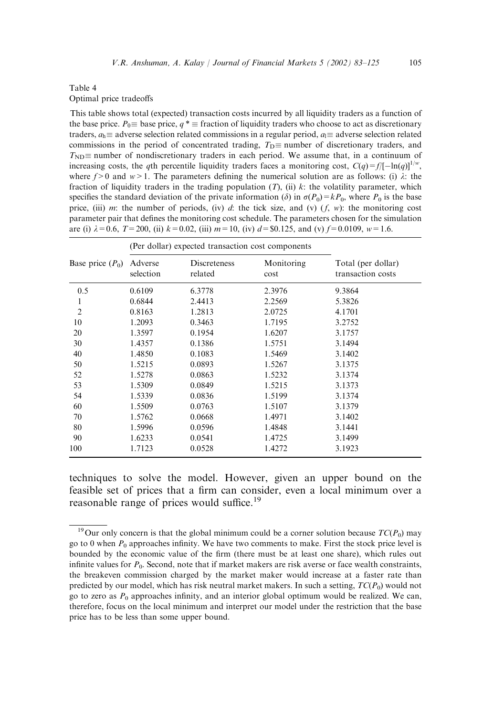#### Table 4

#### Optimal price tradeoffs

This table shows total (expected) transaction costs incurred by all liquidity traders as a function of the base price.  $P_0 \equiv$  base price,  $q^* \equiv$  fraction of liquidity traders who choose to act as discretionary traders,  $a_h \equiv$  adverse selection related commissions in a regular period,  $a_l \equiv$  adverse selection related commissions in the period of concentrated trading,  $T_D \equiv$  number of discretionary traders, and  $T_{\text{ND}}$  number of nondiscretionary traders in each period. We assume that, in a continuum of increasing costs, the qth percentile liquidity traders faces a monitoring cost,  $C(q) = f/[-\ln(q)]^{1/w}$ , where  $f>0$  and  $w>1$ . The parameters defining the numerical solution are as follows: (i)  $\lambda$ : the fraction of liquidity traders in the trading population  $(T)$ , (ii) k: the volatility parameter, which specifies the standard deviation of the private information ( $\delta$ ) in  $\sigma(P_0)=kP_0$ , where  $P_0$  is the base price, (iii) m: the number of periods, (iv) d: the tick size, and (v)  $(f, w)$ : the monitoring cost parameter pair that defines the monitoring cost schedule. The parameters chosen for the simulation are (i)  $\lambda = 0.6$ , T = 200, (ii)  $k = 0.02$ , (iii)  $m = 10$ , (iv)  $d = 0.125$ , and (v)  $f = 0.0109$ ,  $w = 1.6$ .

|                    | (Per dollar) expected transaction cost components |                         |                    |                                         |
|--------------------|---------------------------------------------------|-------------------------|--------------------|-----------------------------------------|
| Base price $(P_0)$ | Adverse<br>selection                              | Discreteness<br>related | Monitoring<br>cost | Total (per dollar)<br>transaction costs |
| 0.5                | 0.6109                                            | 6.3778                  | 2.3976             | 9.3864                                  |
| 1                  | 0.6844                                            | 2.4413                  | 2.2569             | 5.3826                                  |
| $\overline{2}$     | 0.8163                                            | 1.2813                  | 2.0725             | 4.1701                                  |
| 10                 | 1.2093                                            | 0.3463                  | 1.7195             | 3.2752                                  |
| 20                 | 1.3597                                            | 0.1954                  | 1.6207             | 3.1757                                  |
| 30                 | 1.4357                                            | 0.1386                  | 1.5751             | 3.1494                                  |
| 40                 | 1.4850                                            | 0.1083                  | 1.5469             | 3.1402                                  |
| 50                 | 1.5215                                            | 0.0893                  | 1.5267             | 3.1375                                  |
| 52                 | 1.5278                                            | 0.0863                  | 1.5232             | 3.1374                                  |
| 53                 | 1.5309                                            | 0.0849                  | 1.5215             | 3.1373                                  |
| 54                 | 1.5339                                            | 0.0836                  | 1.5199             | 3.1374                                  |
| 60                 | 1.5509                                            | 0.0763                  | 1.5107             | 3.1379                                  |
| 70                 | 1.5762                                            | 0.0668                  | 1.4971             | 3.1402                                  |
| 80                 | 1.5996                                            | 0.0596                  | 1.4848             | 3.1441                                  |
| 90                 | 1.6233                                            | 0.0541                  | 1.4725             | 3.1499                                  |
| 100                | 1.7123                                            | 0.0528                  | 1.4272             | 3.1923                                  |

techniques to solve the model. However, given an upper bound on the feasible set of prices that a firm can consider, even a local minimum over a reasonable range of prices would suffice.<sup>19</sup>

<sup>&</sup>lt;sup>19</sup>Our only concern is that the global minimum could be a corner solution because  $TC(P_0)$  may go to 0 when  $P_0$  approaches infinity. We have two comments to make. First the stock price level is bounded by the economic value of the firm (there must be at least one share), which rules out infinite values for  $P_0$ . Second, note that if market makers are risk averse or face wealth constraints, the breakeven commission charged by the market maker would increase at a faster rate than predicted by our model, which has risk neutral market makers. In such a setting,  $TC(P_0)$  would not go to zero as  $P_0$  approaches infinity, and an interior global optimum would be realized. We can, therefore, focus on the local minimum and interpret our model under the restriction that the base price has to be less than some upper bound.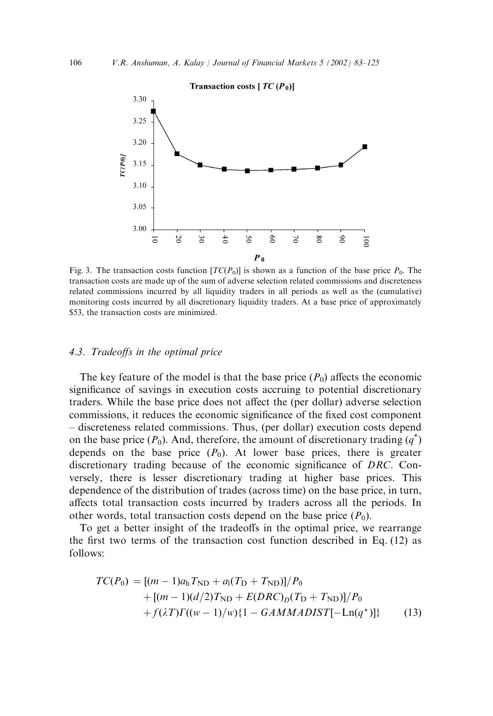

Fig. 3. The transaction costs function  $[TC(P_0)]$  is shown as a function of the base price  $P_0$ . The transaction costs are made up of the sum of adverse selection related commissions and discreteness related commissions incurred by all liquidity traders in all periods as well as the (cumulative) monitoring costs incurred by all discretionary liquidity traders. At a base price of approximately \$53, the transaction costs are minimized.

### 4.3. Tradeoffs in the optimal price

The key feature of the model is that the base price  $(P_0)$  affects the economic significance of savings in execution costs accruing to potential discretionary traders. While the base price does not affect the (per dollar) adverse selection commissions, it reduces the economic significance of the fixed cost component – discreteness related commissions. Thus, (per dollar) execution costs depend on the base price ( $P_0$ ). And, therefore, the amount of discretionary trading ( $q^*$ ) depends on the base price  $(P_0)$ . At lower base prices, there is greater discretionary trading because of the economic significance of DRC. Conversely, there is lesser discretionary trading at higher base prices. This dependence of the distribution of trades (across time) on the base price, in turn, affects total transaction costs incurred by traders across all the periods. In other words, total transaction costs depend on the base price  $(P_0)$ .

To get a better insight of the tradeoffs in the optimal price, we rearrange the first two terms of the transaction cost function described in Eq. (12) as follows:

$$
TC(P_0) = [(m-1)a_h T_{ND} + a_l (T_D + T_{ND})]/P_0
$$
  
+ [(m-1)(d/2)T\_{ND} + E(DRC)\_D (T\_D + T\_{ND})]/P\_0  
+ f(\lambda T) \Gamma((w-1)/w) \{1 - GAMMADIST[-Ln(q^\*)]\} (13)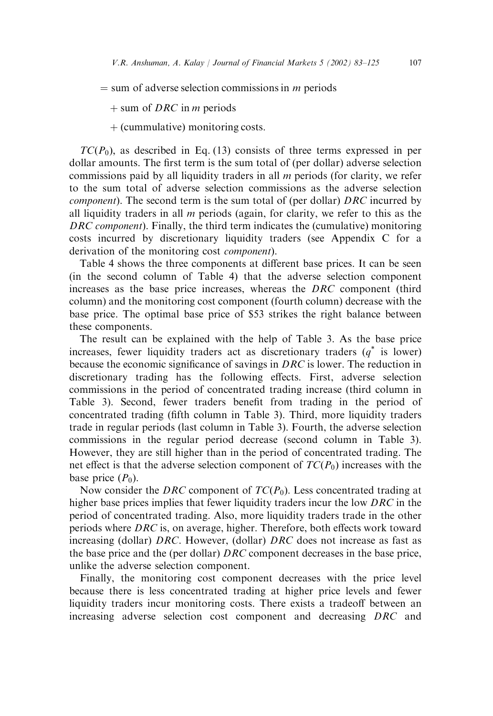- $=$  sum of adverse selection commissions in *m* periods
	- $+$  sum of *DRC* in *m* periods
	- $+$  (cummulative) monitoring costs.

 $TC(P_0)$ , as described in Eq. (13) consists of three terms expressed in per dollar amounts. The first term is the sum total of (per dollar) adverse selection commissions paid by all liquidity traders in all  $m$  periods (for clarity, we refer to the sum total of adverse selection commissions as the adverse selection component). The second term is the sum total of (per dollar) DRC incurred by all liquidity traders in all  $m$  periods (again, for clarity, we refer to this as the DRC component). Finally, the third term indicates the (cumulative) monitoring costs incurred by discretionary liquidity traders (see Appendix C for a derivation of the monitoring cost component).

Table 4 shows the three components at different base prices. It can be seen (in the second column of Table 4) that the adverse selection component increases as the base price increases, whereas the DRC component (third column) and the monitoring cost component (fourth column) decrease with the base price. The optimal base price of \$53 strikes the right balance between these components.

The result can be explained with the help of Table 3. As the base price increases, fewer liquidity traders act as discretionary traders  $(q^*$  is lower) because the economic significance of savings in DRC is lower. The reduction in discretionary trading has the following effects. First, adverse selection commissions in the period of concentrated trading increase (third column in Table 3). Second, fewer traders benefit from trading in the period of concentrated trading (fifth column in Table 3). Third, more liquidity traders trade in regular periods (last column in Table 3). Fourth, the adverse selection commissions in the regular period decrease (second column in Table 3). However, they are still higher than in the period of concentrated trading. The net effect is that the adverse selection component of  $TC(P<sub>0</sub>)$  increases with the base price  $(P_0)$ .

Now consider the DRC component of  $TC(P_0)$ . Less concentrated trading at higher base prices implies that fewer liquidity traders incur the low DRC in the period of concentrated trading. Also, more liquidity traders trade in the other periods where DRC is, on average, higher. Therefore, both effects work toward increasing (dollar) DRC. However, (dollar) DRC does not increase as fast as the base price and the (per dollar) DRC component decreases in the base price, unlike the adverse selection component.

Finally, the monitoring cost component decreases with the price level because there is less concentrated trading at higher price levels and fewer liquidity traders incur monitoring costs. There exists a tradeoff between an increasing adverse selection cost component and decreasing DRC and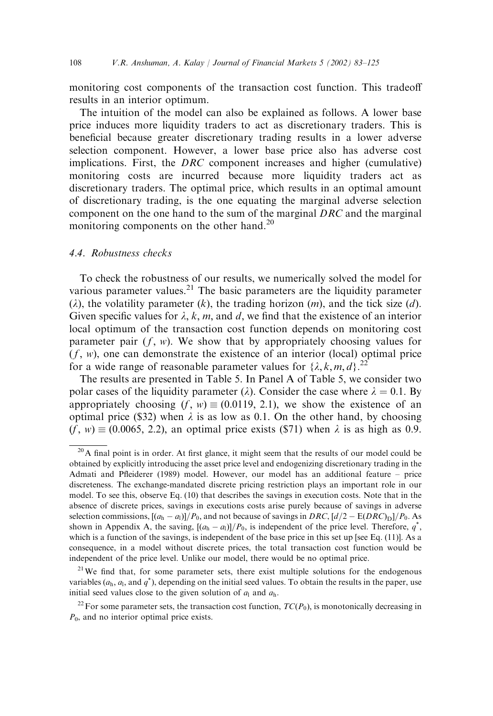monitoring cost components of the transaction cost function. This tradeoff results in an interior optimum.

The intuition of the model can also be explained as follows. A lower base price induces more liquidity traders to act as discretionary traders. This is beneficial because greater discretionary trading results in a lower adverse selection component. However, a lower base price also has adverse cost implications. First, the DRC component increases and higher (cumulative) monitoring costs are incurred because more liquidity traders act as discretionary traders. The optimal price, which results in an optimal amount of discretionary trading, is the one equating the marginal adverse selection component on the one hand to the sum of the marginal DRC and the marginal monitoring components on the other hand.<sup>20</sup>

### 4.4. Robustness checks

To check the robustness of our results, we numerically solved the model for various parameter values.<sup>21</sup> The basic parameters are the liquidity parameter ( $\lambda$ ), the volatility parameter ( $k$ ), the trading horizon (*m*), and the tick size (*d*). Given specific values for  $\lambda$ , k, m, and d, we find that the existence of an interior local optimum of the transaction cost function depends on monitoring cost parameter pair  $(f, w)$ . We show that by appropriately choosing values for  $(f, w)$ , one can demonstrate the existence of an interior (local) optimal price for a wide range of reasonable parameter values for  $\{\lambda, k, m, d\}$ .<sup>22</sup>

The results are presented in Table 5. In Panel A of Table 5, we consider two polar cases of the liquidity parameter ( $\lambda$ ). Consider the case where  $\lambda = 0.1$ . By appropriately choosing  $(f, w) \equiv (0.0119, 2.1)$ , we show the existence of an optimal price (\$32) when  $\lambda$  is as low as 0.1. On the other hand, by choosing  $(f, w) \equiv (0.0065, 2.2)$ , an optimal price exists (\$71) when  $\lambda$  is as high as 0.9.

<sup>&</sup>lt;sup>20</sup>A final point is in order. At first glance, it might seem that the results of our model could be obtained by explicitly introducing the asset price level and endogenizing discretionary trading in the Admati and Pfleiderer (1989) model. However, our model has an additional feature – price discreteness. The exchange-mandated discrete pricing restriction plays an important role in our model. To see this, observe Eq. (10) that describes the savings in execution costs. Note that in the absence of discrete prices, savings in executions costs arise purely because of savings in adverse selection commissions,  $[(a_h - a_l)/P_0]$ , and not because of savings in DRC,  $\frac{d}{2} = E(DRC)_{\text{D}}/P_0$ . As shown in Appendix A, the saving,  $[(a_h - a_l)]/P_0$ , is independent of the price level. Therefore,  $q^*$ , which is a function of the savings, is independent of the base price in this set up [see Eq. (11)]. As a consequence, in a model without discrete prices, the total transaction cost function would be independent of the price level. Unlike our model, there would be no optimal price.

<sup>&</sup>lt;sup>21</sup>We find that, for some parameter sets, there exist multiple solutions for the endogenous variables  $(a_h, a_l,$  and  $q^*$ ), depending on the initial seed values. To obtain the results in the paper, use initial seed values close to the given solution of  $a_1$  and  $a_1$ .

<sup>&</sup>lt;sup>22</sup> For some parameter sets, the transaction cost function,  $TC(P_0)$ , is monotonically decreasing in  $P_0$ , and no interior optimal price exists.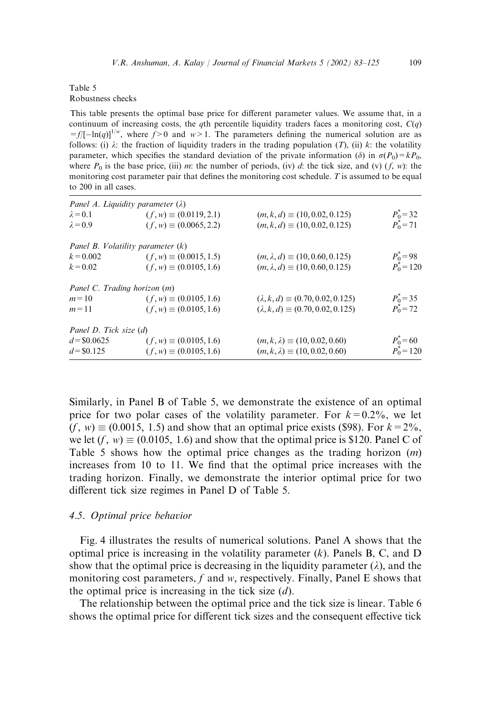#### Table 5

Robustness checks

This table presents the optimal base price for different parameter values. We assume that, in a continuum of increasing costs, the qth percentile liquidity traders faces a monitoring cost,  $C(q)$  $=f/[-\ln(q)]^{1/w}$ , where  $f>0$  and  $w>1$ . The parameters defining the numerical solution are as follows: (i)  $\lambda$ : the fraction of liquidity traders in the trading population (T), (ii) k: the volatility parameter, which specifies the standard deviation of the private information ( $\delta$ ) in  $\sigma(P_0)=kP_0$ , where  $P_0$  is the base price, (iii) m: the number of periods, (iv) d: the tick size, and (v)  $(f, w)$ : the monitoring cost parameter pair that defines the monitoring cost schedule. T is assumed to be equal to 200 in all cases.

|                              | Panel A. Liquidity parameter $(\lambda)$ |                                              |               |
|------------------------------|------------------------------------------|----------------------------------------------|---------------|
| $\lambda = 0.1$              | $(f, w) \equiv (0.0119, 2.1)$            | $(m, k, d) \equiv (10, 0.02, 0.125)$         | $P_0^* = 32$  |
| $\lambda = 0.9$              | $(f, w) \equiv (0.0065, 2.2)$            | $(m, k, d) \equiv (10, 0.02, 0.125)$         | $P_0^* = 71$  |
|                              | Panel B. Volatility parameter $(k)$      |                                              |               |
| $k = 0.002$                  | $(f, w) \equiv (0.0015, 1.5)$            | $(m, \lambda, d) \equiv (10, 0.60, 0.125)$   | $P_0^* = 98$  |
| $k = 0.02$                   | $(f, w) \equiv (0.0105, 1.6)$            | $(m, \lambda, d) \equiv (10, 0.60, 0.125)$   | $P_0^* = 120$ |
| Panel C. Trading horizon (m) |                                          |                                              |               |
| $m=10$                       | $(f, w) \equiv (0.0105, 1.6)$            | $(\lambda, k, d) \equiv (0.70, 0.02, 0.125)$ | $P_0^* = 35$  |
| $m=11$                       | $(f, w) \equiv (0.0105, 1.6)$            | $(\lambda, k, d) \equiv (0.70, 0.02, 0.125)$ | $P_0^* = 72$  |
| Panel D. Tick size (d)       |                                          |                                              |               |
| $d = $0.0625$                | $(f, w) \equiv (0.0105, 1.6)$            | $(m, k, \lambda) \equiv (10, 0.02, 0.60)$    | $P_0^* = 60$  |
| $d = $0.125$                 | $(f, w) \equiv (0.0105, 1.6)$            | $(m, k, \lambda) \equiv (10, 0.02, 0.60)$    | $P_0^* = 120$ |

Similarly, in Panel B of Table 5, we demonstrate the existence of an optimal price for two polar cases of the volatility parameter. For  $k=0.2\%$ , we let  $(f, w) \equiv (0.0015, 1.5)$  and show that an optimal price exists (\$98). For  $k=2\%$ , we let  $(f, w) \equiv (0.0105, 1.6)$  and show that the optimal price is \$120. Panel C of Table 5 shows how the optimal price changes as the trading horizon  $(m)$ increases from 10 to 11. We find that the optimal price increases with the trading horizon. Finally, we demonstrate the interior optimal price for two different tick size regimes in Panel D of Table 5.

### 4.5. Optimal price behavior

Fig. 4 illustrates the results of numerical solutions. Panel A shows that the optimal price is increasing in the volatility parameter  $(k)$ . Panels B, C, and D show that the optimal price is decreasing in the liquidity parameter  $(\lambda)$ , and the monitoring cost parameters,  $f$  and  $w$ , respectively. Finally, Panel E shows that the optimal price is increasing in the tick size  $(d)$ .

The relationship between the optimal price and the tick size is linear. Table 6 shows the optimal price for different tick sizes and the consequent effective tick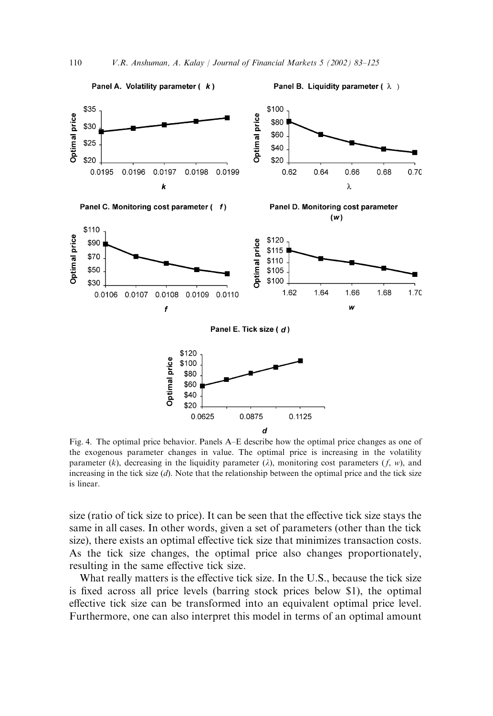

Fig. 4. The optimal price behavior. Panels A–E describe how the optimal price changes as one of the exogenous parameter changes in value. The optimal price is increasing in the volatility parameter (k), decreasing in the liquidity parameter ( $\lambda$ ), monitoring cost parameters (f, w), and increasing in the tick size  $(d)$ . Note that the relationship between the optimal price and the tick size is linear.

size (ratio of tick size to price). It can be seen that the effective tick size stays the same in all cases. In other words, given a set of parameters (other than the tick size), there exists an optimal effective tick size that minimizes transaction costs. As the tick size changes, the optimal price also changes proportionately, resulting in the same effective tick size.

What really matters is the effective tick size. In the U.S., because the tick size is fixed across all price levels (barring stock prices below \$1), the optimal effective tick size can be transformed into an equivalent optimal price level. Furthermore, one can also interpret this model in terms of an optimal amount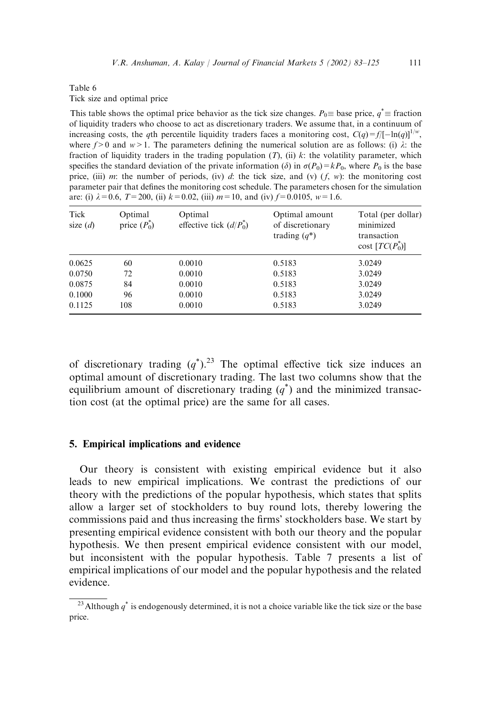#### Table 6

Tick size and optimal price

This table shows the optimal price behavior as the tick size changes.  $P_0 \equiv$  base price,  $q^* \equiv$  fraction of liquidity traders who choose to act as discretionary traders. We assume that, in a continuum of increasing costs, the qth percentile liquidity traders faces a monitoring cost,  $C(q) = f/[-\ln(q)]^{1/w}$ , where  $f>0$  and  $w>1$ . The parameters defining the numerical solution are as follows: (i)  $\lambda$ : the fraction of liquidity traders in the trading population  $(T)$ , (ii) k: the volatility parameter, which specifies the standard deviation of the private information ( $\delta$ ) in  $\sigma(P_0)=kP_0$ , where  $P_0$  is the base price, (iii) m: the number of periods, (iv) d: the tick size, and (v)  $(f, w)$ : the monitoring cost parameter pair that defines the monitoring cost schedule. The parameters chosen for the simulation are: (i)  $\lambda = 0.6$ ,  $T = 200$ , (ii)  $k = 0.02$ , (iii)  $m = 10$ , and (iv)  $f = 0.0105$ ,  $w = 1.6$ .

| Tick<br>size $(d)$ | Optimal<br>price $(P_0^*)$ | Optimal<br>effective tick $(d/P_0^*)$ | Optimal amount<br>of discretionary<br>trading $(q^*)$ | Total (per dollar)<br>minimized<br>transaction<br>$cost[TC(P_0^*)]$ |
|--------------------|----------------------------|---------------------------------------|-------------------------------------------------------|---------------------------------------------------------------------|
| 0.0625             | 60                         | 0.0010                                | 0.5183                                                | 3.0249                                                              |
| 0.0750             | 72                         | 0.0010                                | 0.5183                                                | 3.0249                                                              |
| 0.0875             | 84                         | 0.0010                                | 0.5183                                                | 3.0249                                                              |
| 0.1000             | 96                         | 0.0010                                | 0.5183                                                | 3.0249                                                              |
| 0.1125             | 108                        | 0.0010                                | 0.5183                                                | 3.0249                                                              |

of discretionary trading  $(q^*)$ .<sup>23</sup> The optimal effective tick size induces an optimal amount of discretionary trading. The last two columns show that the equilibrium amount of discretionary trading  $(q^*)$  and the minimized transaction cost (at the optimal price) are the same for all cases.

### 5. Empirical implications and evidence

Our theory is consistent with existing empirical evidence but it also leads to new empirical implications. We contrast the predictions of our theory with the predictions of the popular hypothesis, which states that splits allow a larger set of stockholders to buy round lots, thereby lowering the commissions paid and thus increasing the firms' stockholders base. We start by presenting empirical evidence consistent with both our theory and the popular hypothesis. We then present empirical evidence consistent with our model, but inconsistent with the popular hypothesis. Table 7 presents a list of empirical implications of our model and the popular hypothesis and the related evidence.

<sup>&</sup>lt;sup>23</sup> Although  $q^*$  is endogenously determined, it is not a choice variable like the tick size or the base price.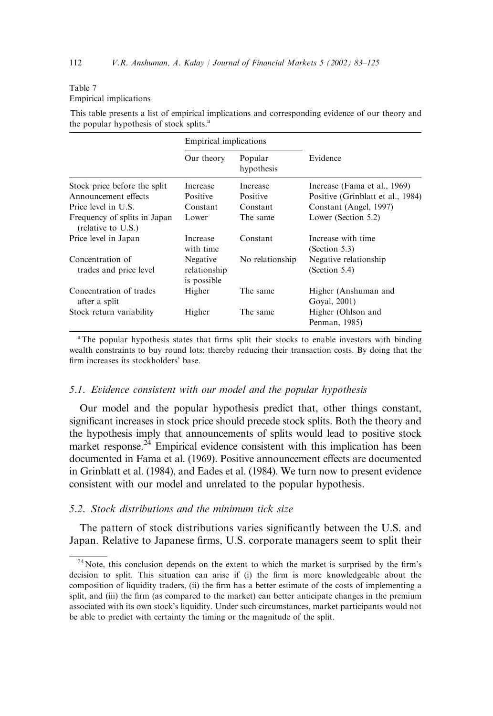#### Table 7

### Empirical implications

This table presents a list of empirical implications and corresponding evidence of our theory and the popular hypothesis of stock splits.<sup>a</sup>

|                                                    | <b>Empirical implications</b> |                       |                                      |
|----------------------------------------------------|-------------------------------|-----------------------|--------------------------------------|
|                                                    | Our theory                    | Popular<br>hypothesis | Evidence                             |
| Stock price before the split                       | Increase                      | Increase              | Increase (Fama et al., 1969)         |
| Announcement effects                               | Positive                      | Positive              | Positive (Grinblatt et al., 1984)    |
| Price level in U.S.                                | Constant                      | Constant              | Constant (Angel, 1997)               |
| Frequency of splits in Japan<br>(relative to U.S.) | Lower                         | The same              | Lower (Section 5.2)                  |
| Price level in Japan                               | Increase                      | Constant              | Increase with time                   |
|                                                    | with time                     |                       | (Section $5.3$ )                     |
| Concentration of                                   | Negative                      | No relationship       | Negative relationship                |
| trades and price level                             | relationship<br>is possible   |                       | (Section $5.4$ )                     |
| Concentration of trades<br>after a split           | Higher                        | The same              | Higher (Anshuman and<br>Goyal, 2001) |
| Stock return variability                           | Higher                        | The same              | Higher (Ohlson and                   |
|                                                    |                               |                       | Penman, 1985)                        |

<sup>a</sup>The popular hypothesis states that firms split their stocks to enable investors with binding wealth constraints to buy round lots; thereby reducing their transaction costs. By doing that the firm increases its stockholders' base.

### 5.1. Evidence consistent with our model and the popular hypothesis

Our model and the popular hypothesis predict that, other things constant, significant increases in stock price should precede stock splits. Both the theory and the hypothesis imply that announcements of splits would lead to positive stock market response. $2<sup>24</sup>$  Empirical evidence consistent with this implication has been documented in Fama et al. (1969). Positive announcement effects are documented in Grinblatt et al. (1984), and Eades et al. (1984). We turn now to present evidence consistent with our model and unrelated to the popular hypothesis.

### 5.2. Stock distributions and the minimum tick size

The pattern of stock distributions varies significantly between the U.S. and Japan. Relative to Japanese firms, U.S. corporate managers seem to split their

<sup>&</sup>lt;sup>24</sup>Note, this conclusion depends on the extent to which the market is surprised by the firm's decision to split. This situation can arise if (i) the firm is more knowledgeable about the composition of liquidity traders, (ii) the firm has a better estimate of the costs of implementing a split, and (iii) the firm (as compared to the market) can better anticipate changes in the premium associated with its own stock's liquidity. Under such circumstances, market participants would not be able to predict with certainty the timing or the magnitude of the split.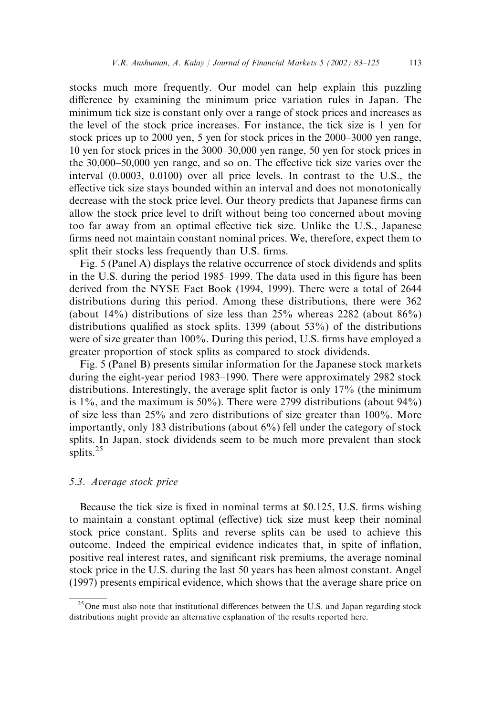stocks much more frequently. Our model can help explain this puzzling difference by examining the minimum price variation rules in Japan. The minimum tick size is constant only over a range of stock prices and increases as the level of the stock price increases. For instance, the tick size is 1 yen for stock prices up to 2000 yen, 5 yen for stock prices in the 2000–3000 yen range, 10 yen for stock prices in the 3000–30,000 yen range, 50 yen for stock prices in the 30,000–50,000 yen range, and so on. The effective tick size varies over the interval (0.0003, 0.0100) over all price levels. In contrast to the U.S., the effective tick size stays bounded within an interval and does not monotonically decrease with the stock price level. Our theory predicts that Japanese firms can allow the stock price level to drift without being too concerned about moving too far away from an optimal effective tick size. Unlike the U.S., Japanese firms need not maintain constant nominal prices. We, therefore, expect them to split their stocks less frequently than U.S. firms.

Fig. 5 (Panel A) displays the relative occurrence of stock dividends and splits in the U.S. during the period 1985–1999. The data used in this figure has been derived from the NYSE Fact Book (1994, 1999). There were a total of 2644 distributions during this period. Among these distributions, there were 362 (about 14%) distributions of size less than  $25\%$  whereas  $2282$  (about  $86\%$ ) distributions qualified as stock splits. 1399 (about 53%) of the distributions were of size greater than 100%. During this period, U.S. firms have employed a greater proportion of stock splits as compared to stock dividends.

Fig. 5 (Panel B) presents similar information for the Japanese stock markets during the eight-year period 1983–1990. There were approximately 2982 stock distributions. Interestingly, the average split factor is only 17% (the minimum is 1%, and the maximum is  $50\%$ ). There were 2799 distributions (about  $94\%$ ) of size less than 25% and zero distributions of size greater than 100%. More importantly, only 183 distributions (about 6%) fell under the category of stock splits. In Japan, stock dividends seem to be much more prevalent than stock splits. $^{25}$ 

### 5.3. Average stock price

Because the tick size is fixed in nominal terms at \$0.125, U.S. firms wishing to maintain a constant optimal (effective) tick size must keep their nominal stock price constant. Splits and reverse splits can be used to achieve this outcome. Indeed the empirical evidence indicates that, in spite of inflation, positive real interest rates, and significant risk premiums, the average nominal stock price in the U.S. during the last 50 years has been almost constant. Angel (1997) presents empirical evidence, which shows that the average share price on

 $25$  One must also note that institutional differences between the U.S. and Japan regarding stock distributions might provide an alternative explanation of the results reported here.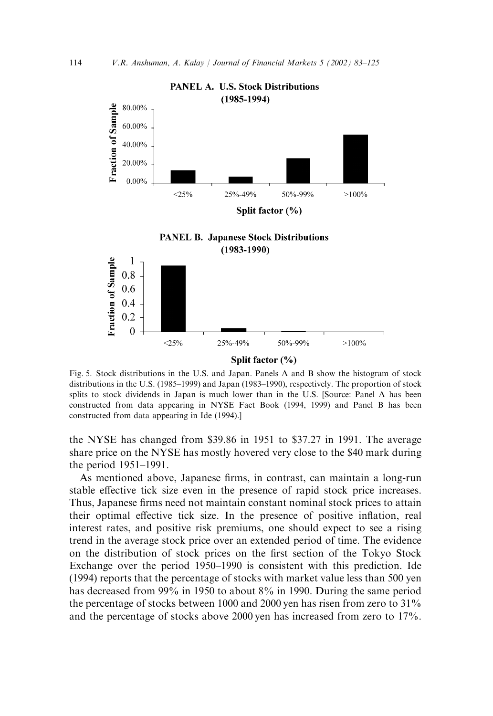

Fig. 5. Stock distributions in the U.S. and Japan. Panels A and B show the histogram of stock distributions in the U.S. (1985–1999) and Japan (1983–1990), respectively. The proportion of stock splits to stock dividends in Japan is much lower than in the U.S. [Source: Panel A has been constructed from data appearing in NYSE Fact Book (1994, 1999) and Panel B has been constructed from data appearing in Ide (1994).]

the NYSE has changed from \$39.86 in 1951 to \$37.27 in 1991. The average share price on the NYSE has mostly hovered very close to the \$40 mark during the period 1951–1991.

As mentioned above, Japanese firms, in contrast, can maintain a long-run stable effective tick size even in the presence of rapid stock price increases. Thus, Japanese firms need not maintain constant nominal stock prices to attain their optimal effective tick size. In the presence of positive inflation, real interest rates, and positive risk premiums, one should expect to see a rising trend in the average stock price over an extended period of time. The evidence on the distribution of stock prices on the first section of the Tokyo Stock Exchange over the period 1950–1990 is consistent with this prediction. Ide (1994) reports that the percentage of stocks with market value less than 500 yen has decreased from 99% in 1950 to about 8% in 1990. During the same period the percentage of stocks between 1000 and 2000 yen has risen from zero to 31% and the percentage of stocks above 2000 yen has increased from zero to 17%.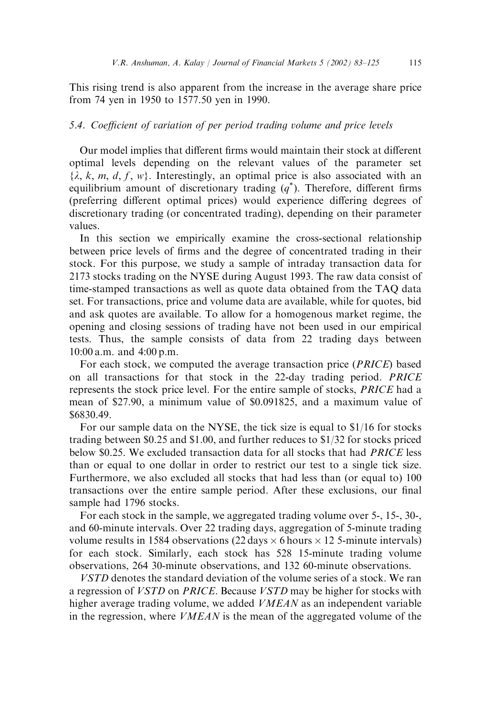This rising trend is also apparent from the increase in the average share price from 74 yen in 1950 to 1577.50 yen in 1990.

### 5.4. Coefficient of variation of per period trading volume and price levels

Our model implies that different firms would maintain their stock at different optimal levels depending on the relevant values of the parameter set  $\{\lambda, k, m, d, f, w\}$ . Interestingly, an optimal price is also associated with an equilibrium amount of discretionary trading  $(q^*)$ . Therefore, different firms (preferring different optimal prices) would experience differing degrees of discretionary trading (or concentrated trading), depending on their parameter values.

In this section we empirically examine the cross-sectional relationship between price levels of firms and the degree of concentrated trading in their stock. For this purpose, we study a sample of intraday transaction data for 2173 stocks trading on the NYSE during August 1993. The raw data consist of time-stamped transactions as well as quote data obtained from the TAQ data set. For transactions, price and volume data are available, while for quotes, bid and ask quotes are available. To allow for a homogenous market regime, the opening and closing sessions of trading have not been used in our empirical tests. Thus, the sample consists of data from 22 trading days between 10:00 a.m. and 4:00 p.m.

For each stock, we computed the average transaction price (PRICE) based on all transactions for that stock in the 22-day trading period. PRICE represents the stock price level. For the entire sample of stocks, PRICE had a mean of \$27.90, a minimum value of \$0.091825, and a maximum value of \$6830.49.

For our sample data on the NYSE, the tick size is equal to \$1/16 for stocks trading between \$0.25 and \$1.00, and further reduces to \$1/32 for stocks priced below \$0.25. We excluded transaction data for all stocks that had PRICE less than or equal to one dollar in order to restrict our test to a single tick size. Furthermore, we also excluded all stocks that had less than (or equal to) 100 transactions over the entire sample period. After these exclusions, our final sample had 1796 stocks.

For each stock in the sample, we aggregated trading volume over 5-, 15-, 30-, and 60-minute intervals. Over 22 trading days, aggregation of 5-minute trading volume results in 1584 observations  $(22 \text{ days} \times 6 \text{ hours} \times 125)$ -minute intervals) for each stock. Similarly, each stock has 528 15-minute trading volume observations, 264 30-minute observations, and 132 60-minute observations.

VSTD denotes the standard deviation of the volume series of a stock. We ran a regression of VSTD on PRICE. Because VSTD may be higher for stocks with higher average trading volume, we added VMEAN as an independent variable in the regression, where  $VMEAN$  is the mean of the aggregated volume of the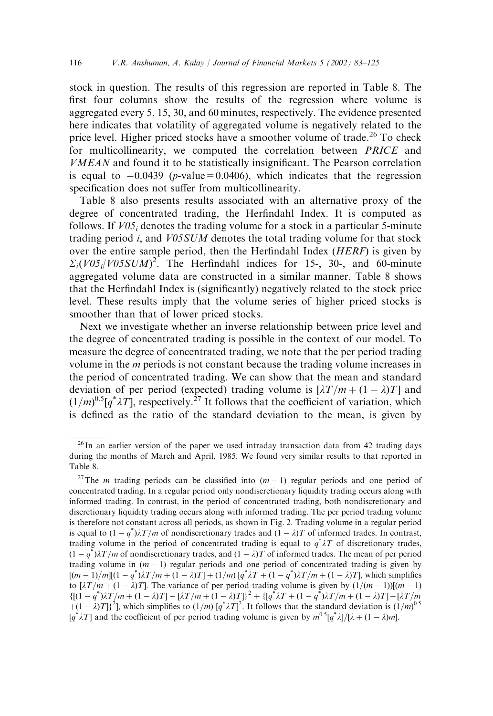stock in question. The results of this regression are reported in Table 8. The first four columns show the results of the regression where volume is aggregated every 5, 15, 30, and 60 minutes, respectively. The evidence presented here indicates that volatility of aggregated volume is negatively related to the price level. Higher priced stocks have a smoother volume of trade.<sup>26</sup> To check for multicollinearity, we computed the correlation between PRICE and VMEAN and found it to be statistically insignificant. The Pearson correlation is equal to  $-0.0439$  (*p*-value=0.0406), which indicates that the regression specification does not suffer from multicollinearity.

Table 8 also presents results associated with an alternative proxy of the degree of concentrated trading, the Herfindahl Index. It is computed as follows. If  $V05$  denotes the trading volume for a stock in a particular 5-minute trading period i, and  $V05SUM$  denotes the total trading volume for that stock over the entire sample period, then the Herfindahl Index (HERF) is given by  $\Sigma_i (V05_i/V05SUM)^2$ . The Herfindahl indices for 15-, 30-, and 60-minute aggregated volume data are constructed in a similar manner. Table 8 shows that the Herfindahl Index is (significantly) negatively related to the stock price level. These results imply that the volume series of higher priced stocks is smoother than that of lower priced stocks.

Next we investigate whether an inverse relationship between price level and the degree of concentrated trading is possible in the context of our model. To measure the degree of concentrated trading, we note that the per period trading volume in the m periods is not constant because the trading volume increases in the period of concentrated trading. We can show that the mean and standard deviation of per period (expected) trading volume is  $[\lambda T/m + (1 - \lambda)T]$  and  $(1/m)^{0.5} [q^* \lambda T]$ , respectively.<sup>27</sup> It follows that the coefficient of variation, which is defined as the ratio of the standard deviation to the mean, is given by

 $^{26}$  In an earlier version of the paper we used intraday transaction data from 42 trading days during the months of March and April, 1985. We found very similar results to that reported in Table 8.

<sup>&</sup>lt;sup>27</sup>The *m* trading periods can be classified into  $(m - 1)$  regular periods and one period of concentrated trading. In a regular period only nondiscretionary liquidity trading occurs along with informed trading. In contrast, in the period of concentrated trading, both nondiscretionary and discretionary liquidity trading occurs along with informed trading. The per period trading volume is therefore not constant across all periods, as shown in Fig. 2. Trading volume in a regular period is equal to  $(1 - q^*)\lambda T/m$  of nondiscretionary trades and  $(1 - \lambda)T$  of informed trades. In contrast, trading volume in the period of concentrated trading is equal to  $q^* \lambda T$  of discretionary trades,  $(1 - q^*)\lambda T/m$  of nondiscretionary trades, and  $(1 - \lambda)T$  of informed trades. The mean of per period trading volume in  $(m - 1)$  regular periods and one period of concentrated trading is given by  $[(m-1)/m][(1-q^*)\lambda T/m + (1-\lambda)T] + (1/m) [q^*\lambda T + (1-q^*)\lambda T/m + (1-\lambda)T]$ , which simplifies to  $[\lambda T/m + (1 - \lambda)T]$ . The variance of per period trading volume is given by  $(1/(m - 1))[(m - 1)$  ${([1 - q^*)\lambda T/m + (1 - \lambda)T] - [\lambda T/m + (1 - \lambda)T]}^2 + {[q^* \lambda T + (1 - q^*)\lambda T/m + (1 - \lambda)T] - [\lambda T/m + (1 - \lambda)T]}^2$  $+(1-\lambda)T$ }<sup>2</sup>], which simplifies to  $(1/m)$  [ $q^*\lambda T$ ]<sup>2</sup>. It follows that the standard deviation is  $(1/m)^{0.5}$  $[q^* \lambda T]$  and the coefficient of per period trading volume is given by  $m^{0.5} [q^* \lambda]/[\lambda + (1 - \lambda)m]$ .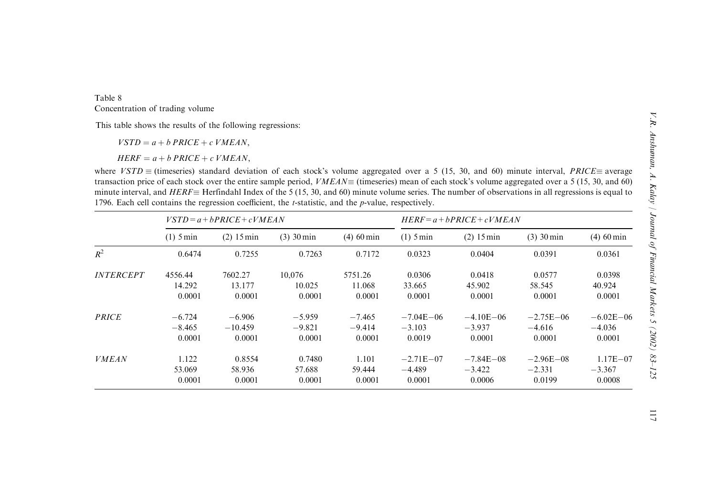### Table 8Concentration of trading volume

This table shows the results of the following regressions:

 $VSTD = a + b \ PRICE + c \ VMEAN,$ 

 $HERF = a + b$   $PRICE + c$   $VMEAN$ ,

where VSTD  $\equiv$  (timeseries) standard deviation of each stock's volume aggregated over a 5 (15, 30, and 60) minute interval, *PRICE*  $\equiv$  average transaction price of each stock over the entire sample period,  $VMEAN \equiv$  (timeseries) mean of each stock's volume aggregated over a 5 (15, 30, and 60) minute interval, and  $HERF \equiv Herfindahl Index$  of the 5 (15, 30, and 60) minute volume series. The number of observations in all regressions is equal to 1796. Each cell contains the regression coefficient, the <sup>t</sup>-statistic, and the p-value, respectively.

|                  | $VSTD = a + bPRICE + cVMEAN$ |              |              |              | $HERF = a + bPRICE + cVMEAN$ |               |               |               |
|------------------|------------------------------|--------------|--------------|--------------|------------------------------|---------------|---------------|---------------|
|                  | $(1)$ 5 min                  | $(2)$ 15 min | $(3)$ 30 min | $(4)$ 60 min | $(1)$ 5 min                  | $(2)$ 15 min  | $(3)$ 30 min  | $(4)$ 60 min  |
| $R^2$            | 0.6474                       | 0.7255       | 0.7263       | 0.7172       | 0.0323                       | 0.0404        | 0.0391        | 0.0361        |
| <b>INTERCEPT</b> | 4556.44                      | 7602.27      | 10.076       | 5751.26      | 0.0306                       | 0.0418        | 0.0577        | 0.0398        |
|                  | 14.292                       | 13.177       | 10.025       | 11.068       | 33.665                       | 45.902        | 58.545        | 40.924        |
|                  | 0.0001                       | 0.0001       | 0.0001       | 0.0001       | 0.0001                       | 0.0001        | 0.0001        | 0.0001        |
| <b>PRICE</b>     | $-6.724$                     | $-6.906$     | $-5.959$     | $-7.465$     | $-7.04E - 06$                | $-4.10E - 06$ | $-2.75E - 06$ | $-6.02E - 06$ |
|                  | $-8.465$                     | $-10.459$    | $-9.821$     | $-9.414$     | $-3.103$                     | $-3.937$      | $-4.616$      | $-4.036$      |
|                  | 0.0001                       | 0.0001       | 0.0001       | 0.0001       | 0.0019                       | 0.0001        | 0.0001        | 0.0001        |
| <b>VMEAN</b>     | 1.122                        | 0.8554       | 0.7480       | 1.101        | $-2.71E - 07$                | $-7.84E - 08$ | $-2.96E - 08$ | $1.17E - 07$  |
|                  | 53.069                       | 58.936       | 57.688       | 59.444       | $-4.489$                     | $-3.422$      | $-2.331$      | $-3.367$      |
|                  | 0.0001                       | 0.0001       | 0.0001       | 0.0001       | 0.0001                       | 0.0006        | 0.0199        | 0.0008        |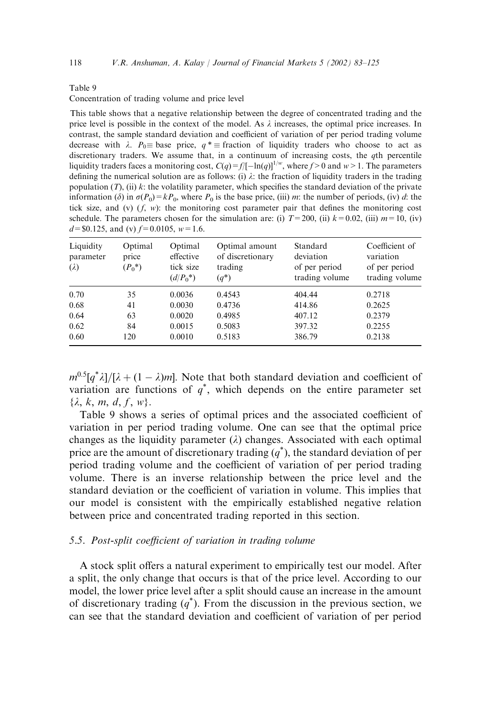#### Table 9

Concentration of trading volume and price level

This table shows that a negative relationship between the degree of concentrated trading and the price level is possible in the context of the model. As  $\lambda$  increases, the optimal price increases. In contrast, the sample standard deviation and coefficient of variation of per period trading volume decrease with  $\lambda$ .  $P_0 \equiv$  base price,  $q^* \equiv$  fraction of liquidity traders who choose to act as discretionary traders. We assume that, in a continuum of increasing costs, the  $q$ th percentile liquidity traders faces a monitoring cost,  $C(q) = f/[-\ln(q)]^{1/w}$ , where  $f > 0$  and  $w > 1$ . The parameters defining the numerical solution are as follows: (i)  $\lambda$ : the fraction of liquidity traders in the trading population  $(T)$ , (ii) k: the volatility parameter, which specifies the standard deviation of the private information ( $\delta$ ) in  $\sigma(P_0) = kP_0$ , where  $P_0$  is the base price, (iii) m: the number of periods, (iv) d: the tick size, and (v)  $(f, w)$ : the monitoring cost parameter pair that defines the monitoring cost schedule. The parameters chosen for the simulation are: (i)  $T=200$ , (ii)  $k=0.02$ , (iii)  $m=10$ , (iv)  $d=$  \$0.125, and (v)  $f=$  0.0105,  $w=1.6$ .

| Liquidity<br>parameter<br>$(\lambda)$ | Optimal<br>price<br>$(P_0^*)$ | Optimal<br>effective<br>tick size<br>$(d/P_0^*)$ | Optimal amount<br>of discretionary<br>trading<br>$(q^*)$ | Standard<br>deviation<br>of per period<br>trading volume | Coefficient of<br>variation<br>of per period<br>trading volume |
|---------------------------------------|-------------------------------|--------------------------------------------------|----------------------------------------------------------|----------------------------------------------------------|----------------------------------------------------------------|
| 0.70                                  | 35                            | 0.0036                                           | 0.4543                                                   | 404.44                                                   | 0.2718                                                         |
| 0.68                                  | 41                            | 0.0030                                           | 0.4736                                                   | 414.86                                                   | 0.2625                                                         |
| 0.64                                  | 63                            | 0.0020                                           | 0.4985                                                   | 407.12                                                   | 0.2379                                                         |
| 0.62                                  | 84                            | 0.0015                                           | 0.5083                                                   | 397.32                                                   | 0.2255                                                         |
| 0.60                                  | 120                           | 0.0010                                           | 0.5183                                                   | 386.79                                                   | 0.2138                                                         |

 $m^{0.5}[q^*\lambda]/[\lambda + (1-\lambda)m]$ . Note that both standard deviation and coefficient of variation are functions of  $q^*$ , which depends on the entire parameter set  $\{\lambda, k, m, d, f, w\}.$ 

Table 9 shows a series of optimal prices and the associated coefficient of variation in per period trading volume. One can see that the optimal price changes as the liquidity parameter  $(\lambda)$  changes. Associated with each optimal price are the amount of discretionary trading  $(q^*)$ , the standard deviation of per period trading volume and the coefficient of variation of per period trading volume. There is an inverse relationship between the price level and the standard deviation or the coefficient of variation in volume. This implies that our model is consistent with the empirically established negative relation between price and concentrated trading reported in this section.

### 5.5. Post-split coefficient of variation in trading volume

A stock split offers a natural experiment to empirically test our model. After a split, the only change that occurs is that of the price level. According to our model, the lower price level after a split should cause an increase in the amount of discretionary trading  $(q^*)$ . From the discussion in the previous section, we can see that the standard deviation and coefficient of variation of per period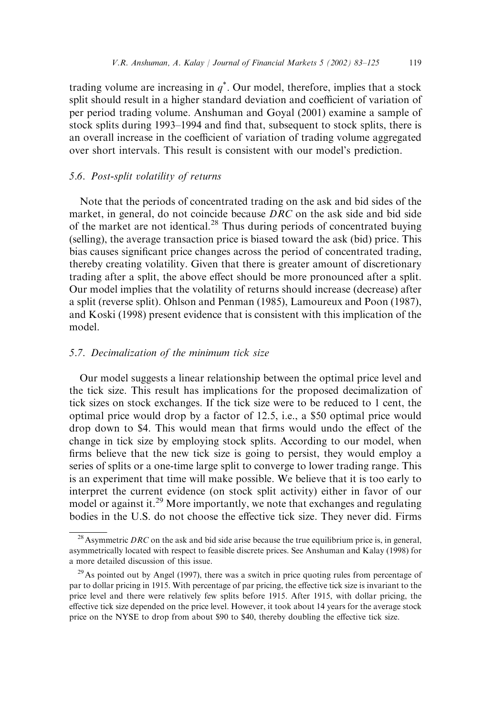trading volume are increasing in  $q^*$ . Our model, therefore, implies that a stock split should result in a higher standard deviation and coefficient of variation of per period trading volume. Anshuman and Goyal (2001) examine a sample of stock splits during 1993–1994 and find that, subsequent to stock splits, there is an overall increase in the coefficient of variation of trading volume aggregated over short intervals. This result is consistent with our model's prediction.

## 5.6. Post-split volatility of returns

Note that the periods of concentrated trading on the ask and bid sides of the market, in general, do not coincide because DRC on the ask side and bid side of the market are not identical.<sup>28</sup> Thus during periods of concentrated buying (selling), the average transaction price is biased toward the ask (bid) price. This bias causes significant price changes across the period of concentrated trading, thereby creating volatility. Given that there is greater amount of discretionary trading after a split, the above effect should be more pronounced after a split. Our model implies that the volatility of returns should increase (decrease) after a split (reverse split). Ohlson and Penman (1985), Lamoureux and Poon (1987), and Koski (1998) present evidence that is consistent with this implication of the model.

### 5.7. Decimalization of the minimum tick size

Our model suggests a linear relationship between the optimal price level and the tick size. This result has implications for the proposed decimalization of tick sizes on stock exchanges. If the tick size were to be reduced to 1 cent, the optimal price would drop by a factor of 12.5, i.e., a \$50 optimal price would drop down to \$4. This would mean that firms would undo the effect of the change in tick size by employing stock splits. According to our model, when firms believe that the new tick size is going to persist, they would employ a series of splits or a one-time large split to converge to lower trading range. This is an experiment that time will make possible. We believe that it is too early to interpret the current evidence (on stock split activity) either in favor of our model or against it.<sup>29</sup> More importantly, we note that exchanges and regulating bodies in the U.S. do not choose the effective tick size. They never did. Firms

<sup>&</sup>lt;sup>28</sup> Asymmetric DRC on the ask and bid side arise because the true equilibrium price is, in general, asymmetrically located with respect to feasible discrete prices. See Anshuman and Kalay (1998) for a more detailed discussion of this issue.

 $29$ As pointed out by Angel (1997), there was a switch in price quoting rules from percentage of par to dollar pricing in 1915. With percentage of par pricing, the effective tick size is invariant to the price level and there were relatively few splits before 1915. After 1915, with dollar pricing, the effective tick size depended on the price level. However, it took about 14 years for the average stock price on the NYSE to drop from about \$90 to \$40, thereby doubling the effective tick size.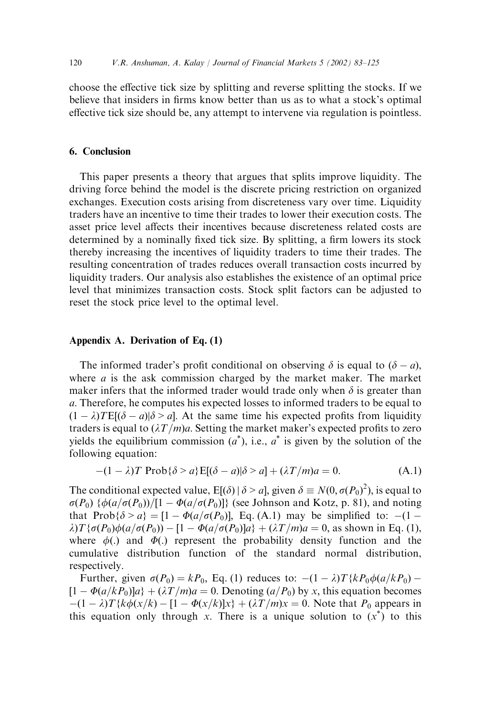choose the effective tick size by splitting and reverse splitting the stocks. If we believe that insiders in firms know better than us as to what a stock's optimal effective tick size should be, any attempt to intervene via regulation is pointless.

### 6. Conclusion

This paper presents a theory that argues that splits improve liquidity. The driving force behind the model is the discrete pricing restriction on organized exchanges. Execution costs arising from discreteness vary over time. Liquidity traders have an incentive to time their trades to lower their execution costs. The asset price level affects their incentives because discreteness related costs are determined by a nominally fixed tick size. By splitting, a firm lowers its stock thereby increasing the incentives of liquidity traders to time their trades. The resulting concentration of trades reduces overall transaction costs incurred by liquidity traders. Our analysis also establishes the existence of an optimal price level that minimizes transaction costs. Stock split factors can be adjusted to reset the stock price level to the optimal level.

### Appendix A. Derivation of Eq. (1)

The informed trader's profit conditional on observing  $\delta$  is equal to  $(\delta - a)$ , where  $a$  is the ask commission charged by the market maker. The market maker infers that the informed trader would trade only when  $\delta$  is greater than a: Therefore, he computes his expected losses to informed traders to be equal to  $(1 - \lambda)TE[(\delta - a)]\delta > a$ . At the same time his expected profits from liquidity traders is equal to  $(\lambda T/m)a$ . Setting the market maker's expected profits to zero yields the equilibrium commission  $(a^*)$ , i.e.,  $a^*$  is given by the solution of the following equation:

$$
-(1 - \lambda)T \text{ Prob}\{\delta > a\} \mathbb{E}[(\delta - a)|\delta > a] + (\lambda T/m)a = 0. \tag{A.1}
$$

The conditional expected value,  $E[(\delta) | \delta > a]$ , given  $\delta \equiv N(0, \sigma(P_0)^2)$ , is equal to  $\sigma(P_0)$  { $\phi(a/\sigma(P_0))/[1 - \Phi(a/\sigma(P_0))]$ } (see Johnson and Kotz, p. 81), and noting that Prob{ $\delta > a$ } = [1 –  $\Phi(a/\sigma(P_0))$ , Eq. (A.1) may be simplified to: –(1 –  $\lambda$ ) $T\{\sigma(P_0)\phi(a/\sigma(P_0)) - [1 - \Phi(a/\sigma(P_0)]a\} + (\lambda T/m)a = 0$ , as shown in Eq. (1), where  $\phi(.)$  and  $\Phi(.)$  represent the probability density function and the cumulative distribution function of the standard normal distribution, respectively.

Further, given  $\sigma(P_0) = kP_0$ , Eq. (1) reduces to:  $-(1 - \lambda)T\{kP_0\phi(a/kP_0) [1 - \Phi(a/kP_0)]a$  +  $(\lambda T/m)a = 0$ . Denoting  $(a/P_0)$  by x, this equation becomes  $-(1 - \lambda)T\{k\phi(x/k) - [1 - \Phi(x/k)]x\} + (\lambda T/m)x = 0$ . Note that  $P_0$  appears in this equation only through x. There is a unique solution to  $(x^*)$  to this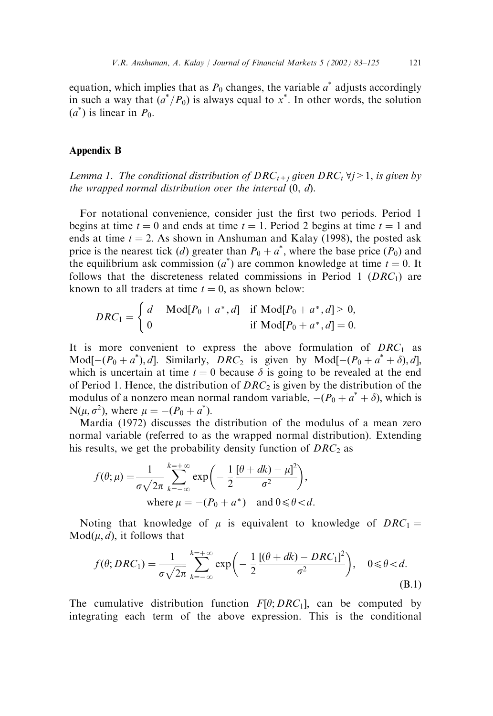equation, which implies that as  $P_0$  changes, the variable  $a^*$  adjusts accordingly in such a way that  $(a^*/P_0)$  is always equal to  $x^*$ . In other words, the solution  $(a^*)$  is linear in  $P_0$ .

### Appendix B

Lemma 1. The conditional distribution of  $DRC_{t+1}$  given  $DRC_t \forall j>1$ , is given by the wrapped normal distribution over the interval  $(0, d)$ .

For notational convenience, consider just the first two periods. Period 1 begins at time  $t = 0$  and ends at time  $t = 1$ . Period 2 begins at time  $t = 1$  and ends at time  $t = 2$ . As shown in Anshuman and Kalay (1998), the posted ask price is the nearest tick (d) greater than  $P_0 + a^*$ , where the base price ( $P_0$ ) and the equilibrium ask commission  $(a^*)$  are common knowledge at time  $t = 0$ . It follows that the discreteness related commissions in Period 1  $(DRC<sub>1</sub>)$  are known to all traders at time  $t = 0$ , as shown below:

$$
DRC_1 = \begin{cases} d - \text{Mod}[P_0 + a^*, d] & \text{if } \text{Mod}[P_0 + a^*, d] > 0, \\ 0 & \text{if } \text{Mod}[P_0 + a^*, d] = 0. \end{cases}
$$

It is more convenient to express the above formulation of  $DRC<sub>1</sub>$  as Mod $[-(P_0 + a^*), d]$ . Similarly, DRC<sub>2</sub> is given by Mod $[-(P_0 + a^* + \delta), d]$ , which is uncertain at time  $t = 0$  because  $\delta$  is going to be revealed at the end of Period 1. Hence, the distribution of  $DRC<sub>2</sub>$  is given by the distribution of the modulus of a nonzero mean normal random variable,  $-(P_0 + a^* + \delta)$ , which is  $N(\mu, \sigma^2)$ , where  $\mu = -(P_0 + a^*)$ .

Mardia (1972) discusses the distribution of the modulus of a mean zero normal variable (referred to as the wrapped normal distribution). Extending his results, we get the probability density function of  $DRC<sub>2</sub>$  as

$$
f(\theta; \mu) = \frac{1}{\sigma \sqrt{2\pi}} \sum_{k=-\infty}^{k=+\infty} \exp\left(-\frac{1}{2} \frac{[\theta + dk) - \mu]^2}{\sigma^2}\right),
$$
  
where  $\mu = -(P_0 + a^*)$  and  $0 \le \theta < d$ .

Noting that knowledge of  $\mu$  is equivalent to knowledge of  $DRC_1 =$  $Mod(\mu, d)$ , it follows that

$$
f(\theta; DRC_1) = \frac{1}{\sigma\sqrt{2\pi}} \sum_{k=-\infty}^{k=-\infty} \exp\left(-\frac{1}{2} \frac{[(\theta + dk) - DRC_1]^2}{\sigma^2}\right), \quad 0 \le \theta < d.
$$
\n(B.1)

The cumulative distribution function  $F[\theta; DRC_1]$ , can be computed by integrating each term of the above expression. This is the conditional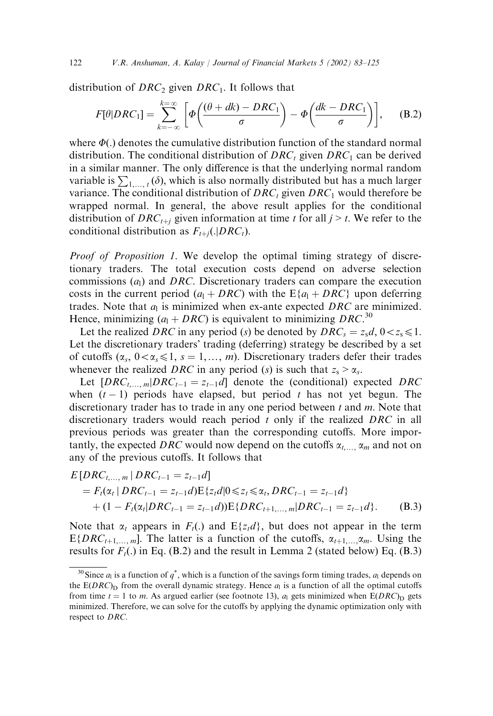distribution of  $DRC_2$  given  $DRC_1$ . It follows that

$$
F[\theta|DRC_1] = \sum_{k=-\infty}^{k=\infty} \left[ \Phi\left(\frac{(\theta+dk) - DRC_1}{\sigma}\right) - \Phi\left(\frac{dk - DRC_1}{\sigma}\right) \right], \quad (B.2)
$$

where  $\Phi(.)$  denotes the cumulative distribution function of the standard normal distribution. The conditional distribution of  $DRC<sub>t</sub>$  given  $DRC<sub>1</sub>$  can be derived in a similar manner. The only difference is that the underlying normal random variable is  $\sum_{1,\dots,t} (\delta)$ , which is also normally distributed but has a much larger variance. The conditional distribution of  $DRC<sub>t</sub>$  given  $DRC<sub>1</sub>$  would therefore be wrapped normal. In general, the above result applies for the conditional distribution of  $DRC_{t+j}$  given information at time t for all  $j > t$ . We refer to the conditional distribution as  $F_{t+j}(.|DRC_t)$ .

Proof of Proposition 1. We develop the optimal timing strategy of discretionary traders. The total execution costs depend on adverse selection commissions  $(a<sub>l</sub>)$  and DRC. Discretionary traders can compare the execution costs in the current period ( $a_1 + DRC$ ) with the  $E{a_1 + DRC}$  upon deferring trades. Note that  $a<sub>l</sub>$  is minimized when ex-ante expected DRC are minimized. Hence, minimizing  $(a_1 + DRC)$  is equivalent to minimizing  $DRC$ <sup>30</sup>

Let the realized DRC in any period (s) be denoted by  $DRC_s = z_s d$ ,  $0 < z_s \le 1$ . Let the discretionary traders' trading (deferring) strategy be described by a set of cutoffs ( $\alpha_s$ ,  $0 < \alpha_s \leq 1$ ,  $s = 1,..., m$ ). Discretionary traders defer their trades whenever the realized DRC in any period (s) is such that  $z_s > \alpha_s$ .

Let  $[DRC_{t_{\text{max}}} m]DRC_{t-1} = z_{t-1}d$  denote the (conditional) expected DRC when  $(t - 1)$  periods have elapsed, but period t has not yet begun. The discretionary trader has to trade in any one period between  $t$  and  $m$ . Note that discretionary traders would reach period  $t$  only if the realized DRC in all previous periods was greater than the corresponding cutoffs. More importantly, the expected DRC would now depend on the cutoffs  $\alpha_t$   $\alpha_m$  and not on any of the previous cutoffs. It follows that

$$
E[DRC_{t,\ldots,m} | DRC_{t-1} = z_{t-1}d]
$$
  
=  $F_t(\alpha_t | DRC_{t-1} = z_{t-1}d)E\{z_t d | 0 \le z_t \le \alpha_t, DRC_{t-1} = z_{t-1}d\}$   
+  $(1 - F_t(\alpha_t | DRC_{t-1} = z_{t-1}d))E\{DRC_{t+1,\ldots,m} | DRC_{t-1} = z_{t-1}d\}.$  (B.3)

Note that  $\alpha_t$  appears in  $F_t(.)$  and  $E\{z_t d\}$ , but does not appear in the term  $E\{DRC_{t+1,\ldots,m}\}.$  The latter is a function of the cutoffs,  $\alpha_{t+1,\ldots,\alpha_m}$ . Using the results for  $F_t(.)$  in Eq. (B.2) and the result in Lemma 2 (stated below) Eq. (B.3)

<sup>&</sup>lt;sup>30</sup> Since  $a_1$  is a function of  $q^*$ , which is a function of the savings form timing trades,  $a_1$  depends on the  $E(DRC)$ <sub>D</sub> from the overall dynamic strategy. Hence  $a<sub>l</sub>$  is a function of all the optimal cutoffs from time  $t = 1$  to m. As argued earlier (see footnote 13),  $a_1$  gets minimized when  $E(DRC)_{D}$  gets minimized. Therefore, we can solve for the cutoffs by applying the dynamic optimization only with respect to DRC.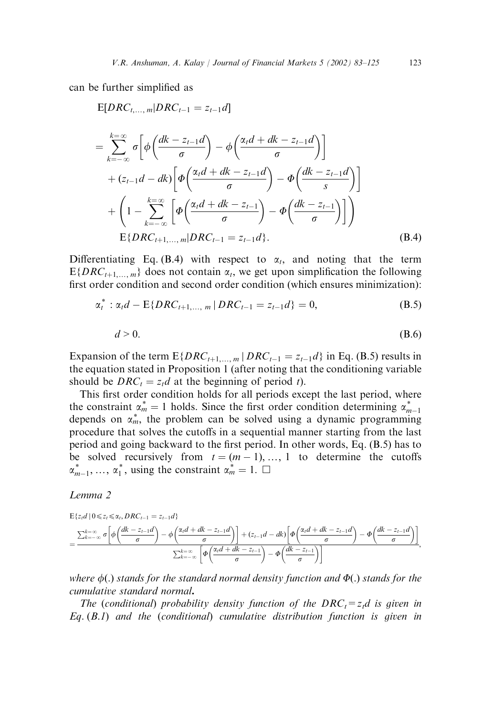can be further simplified as

$$
E[DRC_{t,\ldots,m}|DRC_{t-1} = z_{t-1}d]
$$
\n
$$
= \sum_{k=-\infty}^{k=\infty} \sigma \left[ \phi \left( \frac{dk - z_{t-1}d}{\sigma} \right) - \phi \left( \frac{\alpha_t d + dk - z_{t-1}d}{\sigma} \right) \right]
$$
\n
$$
+ (z_{t-1}d - dk) \left[ \phi \left( \frac{\alpha_t d + dk - z_{t-1}d}{\sigma} \right) - \phi \left( \frac{dk - z_{t-1}d}{s} \right) \right]
$$
\n
$$
+ \left( 1 - \sum_{k=-\infty}^{k=\infty} \left[ \phi \left( \frac{\alpha_t d + dk - z_{t-1}}{\sigma} \right) - \phi \left( \frac{dk - z_{t-1}}{\sigma} \right) \right] \right)
$$
\n
$$
E\{DRC_{t+1,\ldots,m}|DRC_{t-1} = z_{t-1}d\}.
$$
\n(B.4)

Differentiating Eq. (B.4) with respect to  $\alpha_t$ , and noting that the term  $E\{DRC_{t+1,...,m}\}\)$  does not contain  $\alpha_t$ , we get upon simplification the following first order condition and second order condition (which ensures minimization):

$$
\alpha_t^* : \alpha_t d - \mathbb{E} \{ DRC_{t+1,\dots, m} \, | \, DRC_{t-1} = z_{t-1} d \} = 0,\tag{B.5}
$$

$$
d \ge 0. \tag{B.6}
$$

Expansion of the term  $E\{DRC_{t+1,\dots,m} | DRC_{t-1} = z_{t-1}d\}$  in Eq. (B.5) results in the equation stated in Proposition 1 (after noting that the conditioning variable should be  $DRC_t = z_t d$  at the beginning of period t).

This first order condition holds for all periods except the last period, where the constraint  $\alpha_m^* = 1$  holds. Since the first order condition determining  $\alpha_{m-1}^*$ depends on  $\alpha_m^*$ , the problem can be solved using a dynamic programming procedure that solves the cutoffs in a sequential manner starting from the last period and going backward to the first period. In other words, Eq. (B.5) has to be solved recursively from  $t = (m - 1), \ldots, 1$  to determine the cutoffs  $\alpha^*_{m-1}, \ldots, \alpha^*_1$ , using the constraint  $\alpha^*_m = 1$ .  $\Box$ 

#### Lemma 2

$$
E\{z_i d \mid 0 \le z_i \le \alpha_i, DRC_{t-1} = z_{t-1}d\}
$$
\n
$$
= \frac{\sum_{k=-\infty}^{k=\infty} \sigma \left[\phi\left(\frac{dk - z_{t-1}d}{\sigma}\right) - \phi\left(\frac{\alpha_i d + dk - z_{t-1}d}{\sigma}\right)\right] + (z_{t-1}d - dk)\left[\phi\left(\frac{\alpha_i d + dk - z_{t-1}d}{\sigma}\right) - \phi\left(\frac{dk - z_{t-1}d}{\sigma}\right)\right]}{\sum_{k=-\infty}^{k=\infty} \left[\phi\left(\frac{\alpha_i d + dk - z_{t-1}}{\sigma}\right) - \phi\left(\frac{dk - z_{t-1}}{\sigma}\right)\right]}
$$

where  $\phi(.)$  stands for the standard normal density function and  $\Phi(.)$  stands for the cumulative standard normal.

The (conditional) probability density function of the  $DRC_t=z_t d$  is given in  $Eq. (B.1)$  and the (conditional) cumulative distribution function is given in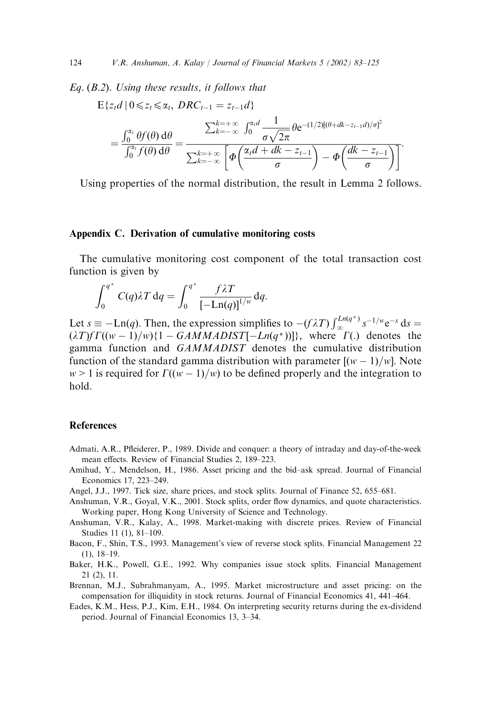Eq. (B.2). Using these results, it follows that

$$
E\{z_t d \mid 0 \le z_t \le \alpha_t, \ DRC_{t-1} = z_{t-1} d\}
$$
  
= 
$$
\frac{\int_0^{\alpha_t} \theta f(\theta) d\theta}{\int_0^{\alpha_t} f(\theta) d\theta} = \frac{\sum_{k=-\infty}^{k=+\infty} \int_0^{\alpha_t d} \frac{1}{\sigma \sqrt{2\pi}} \theta e^{-(1/2)[(\theta + dk - z_{t-1} d)/\sigma]^2}}{\sum_{k=-\infty}^{k=+\infty} \left[ \Phi\left(\frac{\alpha_t d + dk - z_{t-1}}{\sigma}\right) - \Phi\left(\frac{dk - z_{t-1}}{\sigma}\right) \right]}.
$$

Using properties of the normal distribution, the result in Lemma 2 follows.

### Appendix C. Derivation of cumulative monitoring costs

The cumulative monitoring cost component of the total transaction cost function is given by

$$
\int_0^{q^*} C(q) \lambda T \,dq = \int_0^{q^*} \frac{f \lambda T}{[-\text{Ln}(q)]^{1/w}} dq.
$$

Let  $s \equiv -\text{Ln}(q)$ . Then, the expression simplifies to  $-(f\lambda T)\int_{\infty}^{Ln(q^*)} s^{-1/w} e^{-s} ds =$  $(\lambda T)f\Gamma((w-1)/w)\{1 - GAMMADIST[-Ln(q^*)]\}\$ , where  $\Gamma(.)$  denotes the gamma function and GAMMADIST denotes the cumulative distribution function of the standard gamma distribution with parameter  $[(w-1)/w]$ . Note  $w > 1$  is required for  $\Gamma((w-1)/w)$  to be defined properly and the integration to hold.

### **References**

- Admati, A.R., Pfleiderer, P., 1989. Divide and conquer: a theory of intraday and day-of-the-week mean effects. Review of Financial Studies 2, 189–223.
- Amihud, Y., Mendelson, H., 1986. Asset pricing and the bid–ask spread. Journal of Financial Economics 17, 223–249.
- Angel, J.J., 1997. Tick size, share prices, and stock splits. Journal of Finance 52, 655–681.
- Anshuman, V.R., Goyal, V.K., 2001. Stock splits, order flow dynamics, and quote characteristics. Working paper, Hong Kong University of Science and Technology.
- Anshuman, V.R., Kalay, A., 1998. Market-making with discrete prices. Review of Financial Studies 11 (1), 81–109.
- Bacon, F., Shin, T.S., 1993. Management's view of reverse stock splits. Financial Management 22 (1), 18–19.
- Baker, H.K., Powell, G.E., 1992. Why companies issue stock splits. Financial Management 21 (2), 11.
- Brennan, M.J., Subrahmanyam, A., 1995. Market microstructure and asset pricing: on the compensation for illiquidity in stock returns. Journal of Financial Economics 41, 441–464.
- Eades, K.M., Hess, P.J., Kim, E.H., 1984. On interpreting security returns during the ex-dividend period. Journal of Financial Economics 13, 3–34.